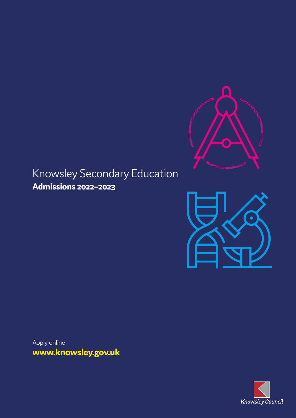

## Knowsley Secondary Education **Admissions 2022–2023**



**www.knowsley.gov.uk** Apply online

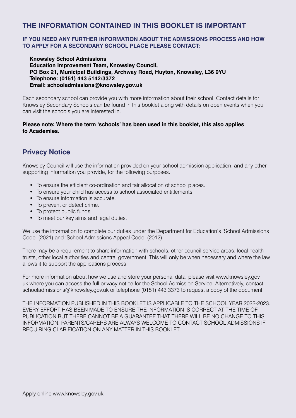## **THE INFORMATION CONTAINED IN THIS BOOKLET IS IMPORTANT**

#### **IF YOU NEED ANY FURTHER INFORMATION ABOUT THE ADMISSIONS PROCESS AND HOW TO APPLY FOR A SECONDARY SCHOOL PLACE PLEASE CONTACT:**

**Knowsley School Admissions Education Improvement Team, Knowsley Council, PO Box 21, Municipal Buildings, Archway Road, Huyton, Knowsley, L36 9YU Telephone: (0151) 443 5142/3372 Email: schooladmissions@knowsley.gov.uk**

Each secondary school can provide you with more information about their school. Contact details for Knowsley Secondary Schools can be found in this booklet along with details on open events when you can visit the schools you are interested in.

#### **Please note: Where the term 'schools' has been used in this booklet, this also applies to Academies.**

## **Privacy Notice**

Knowsley Council will use the information provided on your school admission application, and any other supporting information you provide, for the following purposes.

- To ensure the efficient co-ordination and fair allocation of school places.
- To ensure your child has access to school associated entitlements
- To ensure information is accurate.
- To prevent or detect crime.
- To protect public funds.
- To meet our key aims and legal duties.

We use the information to complete our duties under the Department for Education's 'School Admissions Code' (2021) and 'School Admissions Appeal Code' (2012).

There may be a requirement to share information with schools, other council service areas, local health trusts, other local authorities and central government. This will only be when necessary and where the law allows it to support the applications process.

For more information about how we use and store your personal data, please visit www.knowsley.gov. uk where you can access the full privacy notice for the School Admission Service. Alternatively, contact schooladmissions@knowsley.gov.uk or telephone (0151) 443 3373 to request a copy of the document.

THE INFORMATION PUBLISHED IN THIS BOOKLET IS APPLICABLE TO THE SCHOOL YEAR 2022-2023. EVERY EFFORT HAS BEEN MADE TO ENSURE THE INFORMATION IS CORRECT AT THE TIME OF PUBLICATION BUT THERE CANNOT BE A GUARANTEE THAT THERE WILL BE NO CHANGE TO THIS INFORMATION. PARENTS/CARERS ARE ALWAYS WELCOME TO CONTACT SCHOOL ADMISSIONS IF REQUIRING CLARIFICATION ON ANY MATTER IN THIS BOOKLET.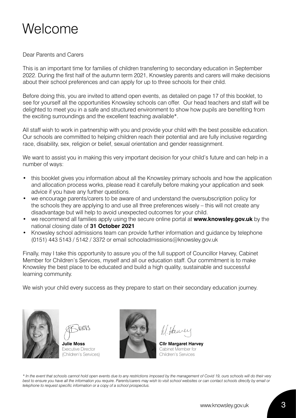## Welcome

#### Dear Parents and Carers

This is an important time for families of children transferring to secondary education in September 2022. During the first half of the autumn term 2021, Knowsley parents and carers will make decisions about their school preferences and can apply for up to three schools for their child.

Before doing this, you are invited to attend open events, as detailed on page 17 of this booklet, to see for yourself all the opportunities Knowsley schools can offer. Our head teachers and staff will be delighted to meet you in a safe and structured environment to show how pupils are benefiting from the exciting surroundings and the excellent teaching available\*.

All staff wish to work in partnership with you and provide your child with the best possible education. Our schools are committed to helping children reach their potential and are fully inclusive regarding race, disability, sex, religion or belief, sexual orientation and gender reassignment.

We want to assist you in making this very important decision for your child's future and can help in a number of ways:

- this booklet gives you information about all the Knowsley primary schools and how the application and allocation process works, please read it carefully before making your application and seek advice if you have any further questions.
- we encourage parents/carers to be aware of and understand the oversubscription policy for the schools they are applying to and use all three preferences wisely – this will not create any disadvantage but will help to avoid unexpected outcomes for your child.
- we recommend all families apply using the secure online portal at **www.knowsley.gov.uk** by the national closing date of **31 October 2021**
- Knowsley school admissions team can provide further information and guidance by telephone (0151) 443 5143 / 5142 / 3372 or email schooladmissions@knowsley.gov.uk

Finally, may I take this opportunity to assure you of the full support of Councillor Harvey, Cabinet Member for Children's Services, myself and all our education staff. Our commitment is to make Knowsley the best place to be educated and build a high quality, sustainable and successful learning community.

We wish your child every success as they prepare to start on their secondary education journey.





**Julie Moss** Executive Director (Children's Services)



**Cllr Margaret Harvey** Cabinet Member for Children's Services

*\* In the event that schools cannot hold open events due to any restrictions imposed by the management of Covid 19, ours schools will do their very best to ensure you have all the information you require. Parents/carers may wish to visit school websites or can contact schools directly by email or telephone to request specific information or a copy of a school prospectus.*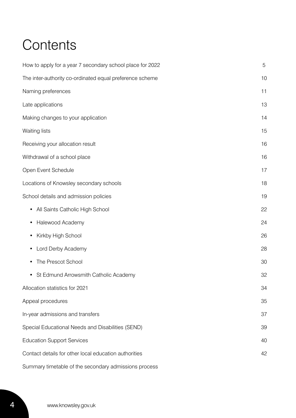## **Contents**

| How to apply for a year 7 secondary school place for 2022 | 5  |
|-----------------------------------------------------------|----|
| The inter-authority co-ordinated equal preference scheme  | 10 |
| Naming preferences                                        | 11 |
| Late applications                                         | 13 |
| Making changes to your application                        | 14 |
| Waiting lists                                             | 15 |
| Receiving your allocation result                          | 16 |
| Withdrawal of a school place                              | 16 |
| Open Event Schedule                                       | 17 |
| Locations of Knowsley secondary schools                   | 18 |
| School details and admission policies                     | 19 |
| All Saints Catholic High School<br>$\bullet$              | 22 |
| Halewood Academy<br>٠                                     | 24 |
| Kirkby High School<br>٠                                   | 26 |
| Lord Derby Academy<br>٠                                   | 28 |
| The Prescot School                                        | 30 |
| St Edmund Arrowsmith Catholic Academy<br>٠                | 32 |
| Allocation statistics for 2021                            | 34 |
| Appeal procedures                                         | 35 |
| In-year admissions and transfers                          | 37 |
| Special Educational Needs and Disabilities (SEND)         | 39 |
| <b>Education Support Services</b>                         | 40 |
| Contact details for other local education authorities     | 42 |
| Summary timetable of the secondary admissions process     |    |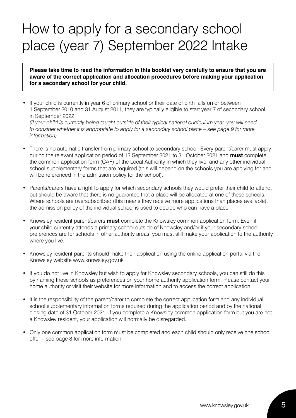## How to apply for a secondary school place (year 7) September 2022 Intake

**Please take time to read the information in this booklet very carefully to ensure that you are aware of the correct application and allocation procedures before making your application for a secondary school for your child.**

If your child is currently in year 6 of primary school or their date of birth falls on or between 1 September 2010 and 31 August 2011, they are typically eligible to start year 7 of secondary school in September 2022.

*(If your child is currently being taught outside of their typical national curriculum year, you will need to consider whether it is appropriate to apply for a secondary school place – see page 9 for more information)*

- There is no automatic transfer from primary school to secondary school. Every parent/carer must apply during the relevant application period of 12 September 2021 to 31 October 2021 and **must** complete the common application form (CAF) of the Local Authority in which they live, and any other individual school supplementary forms that are required (this will depend on the schools you are applying for and will be referenced in the admission policy for the school).
- Parents/carers have a right to apply for which secondary schools they would prefer their child to attend, but should be aware that there is no guarantee that a place will be allocated at one of these schools. Where schools are oversubscribed (this means they receive more applications than places available), the admission policy of the individual school is used to decide who can have a place.
- Knowsley resident parent/carers **must** complete the Knowsley common application form. Even if your child currently attends a primary school outside of Knowsley and/or if your secondary school preferences are for schools in other authority areas, you must still make your application to the authority where you live.
- Knowsley resident parents should make their application using the online application portal via the Knowsley website www.knowsley.gov.uk
- If you do not live in Knowsley but wish to apply for Knowsley secondary schools, you can still do this by naming these schools as preferences on your home authority application form. Please contact your home authority or visit their website for more information and to access the correct application.
- It is the responsibility of the parent/carer to complete the correct application form and any individual school supplementary information forms required during the application period and by the national closing date of 31 October 2021. If you complete a Knowsley common application form but you are not a Knowsley resident, your application will normally be disregarded.
- Only one common application form must be completed and each child should only receive one school offer – see page 8 for more information.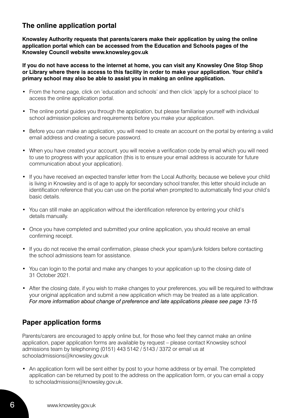## **The online application portal**

**Knowsley Authority requests that parents/carers make their application by using the online application portal which can be accessed from the Education and Schools pages of the Knowsley Council website www.knowsley.gov.uk** 

**If you do not have access to the internet at home, you can visit any Knowsley One Stop Shop or Library where there is access to this facility in order to make your application. Your child's primary school may also be able to assist you in making an online application.** 

- From the home page, click on 'education and schools' and then click 'apply for a school place' to access the online application portal.
- The online portal guides you through the application, but please familiarise yourself with individual school admission policies and requirements before you make your application.
- Before you can make an application, you will need to create an account on the portal by entering a valid email address and creating a secure password.
- When you have created your account, you will receive a verification code by email which you will need to use to progress with your application (this is to ensure your email address is accurate for future communication about your application).
- If you have received an expected transfer letter from the Local Authority, because we believe your child is living in Knowsley and is of age to apply for secondary school transfer, this letter should include an identification reference that you can use on the portal when prompted to automatically find your child's basic details.
- You can still make an application without the identification reference by entering your child's details manually.
- Once you have completed and submitted your online application, you should receive an email confirming receipt.
- If you do not receive the email confirmation, please check your spam/junk folders before contacting the school admissions team for assistance.
- You can login to the portal and make any changes to your application up to the closing date of 31 October 2021.
- After the closing date, if you wish to make changes to your preferences, you will be required to withdraw your original application and submit a new application which may be treated as a late application. *For more information about change of preference and late applications please see page 13-15*

## **Paper application forms**

Parents/carers are encouraged to apply online but, for those who feel they cannot make an online application, paper application forms are available by request – please contact Knowsley school admissions team by telephoning (0151) 443 5142 / 5143 / 3372 or email us at schooladmissions@knowsley.gov.uk

• An application form will be sent either by post to your home address or by email. The completed application can be returned by post to the address on the application form, or you can email a copy to schooladmissions@knowsley.gov.uk.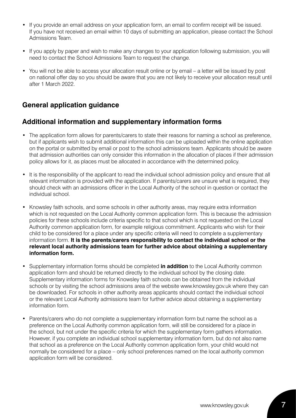- If you provide an email address on your application form, an email to confirm receipt will be issued. If you have not received an email within 10 days of submitting an application, please contact the School Admissions Team.
- If you apply by paper and wish to make any changes to your application following submission, you will need to contact the School Admissions Team to request the change.
- You will not be able to access your allocation result online or by email a letter will be issued by post on national offer day so you should be aware that you are not likely to receive your allocation result until after 1 March 2022.

## **General application guidance**

## **Additional information and supplementary information forms**

- The application form allows for parents/carers to state their reasons for naming a school as preference, but if applicants wish to submit additional information this can be uploaded within the online application on the portal or submitted by email or post to the school admissions team. Applicants should be aware that admission authorities can only consider this information in the allocation of places if their admission policy allows for it, as places must be allocated in accordance with the determined policy.
- It is the responsibility of the applicant to read the individual school admission policy and ensure that all relevant information is provided with the application. If parents/carers are unsure what is required, they should check with an admissions officer in the Local Authority of the school in question or contact the individual school.
- Knowsley faith schools, and some schools in other authority areas, may require extra information which is not requested on the Local Authority common application form. This is because the admission policies for these schools include criteria specific to that school which is not requested on the Local Authority common application form, for example religious commitment. Applicants who wish for their child to be considered for a place under any specific criteria will need to complete a supplementary information form. **It is the parents/carers responsibility to contact the individual school or the relevant local authority admissions team for further advice about obtaining a supplementary information form.**
- Supplementary information forms should be completed **in addition** to the Local Authority common application form and should be returned directly to the individual school by the closing date. Supplementary information forms for Knowsley faith schools can be obtained from the individual schools or by visiting the school admissions area of the website www.knowsley.gov.uk where they can be downloaded. For schools in other authority areas applicants should contact the individual school or the relevant Local Authority admissions team for further advice about obtaining a supplementary information form.
- Parents/carers who do not complete a supplementary information form but name the school as a preference on the Local Authority common application form, will still be considered for a place in the school, but not under the specific criteria for which the supplementary form gathers information. However, if you complete an individual school supplementary information form, but do not also name that school as a preference on the Local Authority common application form, your child would not normally be considered for a place – only school preferences named on the local authority common application form will be considered.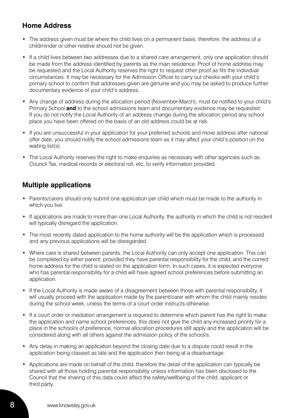## **Home Address**

- The address given must be where the child lives on a permanent basis, therefore, the address of a childminder or other relative should not be given.
- If a child lives between two addresses due to a shared care arrangement, only one application should be made from the address identified by parents as the main residence. Proof of home address may be requested and the Local Authority reserves the right to request other proof as fits the individual circumstances. It may be necessary for the Admission Officer to carry out checks with your child's primary school to confirm that addresses given are genuine and you may be asked to produce further documentary evidence of your child's address.
- Any change of address during the allocation period (November-March), must be notified to your child's Primary School **and** to the school admissions team and documentary evidence may be requested. If you do not notify the Local Authority of an address change during the allocation period any school place you have been offered on the basis of an old address could be at risk.
- If you are unsuccessful in your application for your preferred schools and move address after national offer date, you should notify the school admissions team as it may affect your child's position on the waiting list(s).
- The Local Authority reserves the right to make enquiries as necessary with other agencies such as Council Tax, medical records or electoral roll, etc, to verify information provided.

## **Multiple applications**

- Parents/carers should only submit one application per child which must be made to the authority in which you live.
- If applications are made to more than one Local Authority, the authority in which the child is not resident will typically disregard the application.
- The most recently dated application to the home authority will be the application which is processed and any previous applications will be disregarded.
- Where care is shared between parents, the Local Authority can only accept one application. This can be completed by either parent, provided they have parental responsibility for the child, and the correct home address for the child is stated on the application form. In such cases, it is expected everyone who has parental responsibility for a child will have agreed school preferences before submitting an application.
- If the Local Authority is made aware of a disagreement between those with parental responsibility, it will usually proceed with the application made by the parent/carer with whom the child mainly resides during the school week, unless the terms of a court order instructs otherwise.
- If a court order or mediation arrangement is required to determine which parent has the right to make the application and name school preferences, this does not give the child any increased priority for a place in the school/s of preference, normal allocation procedures still apply and the application will be considered along with all others against the admission policy of the school/s.
- Any delay in making an application beyond the closing date due to a dispute could result in the application being classed as late and the application then being at a disadvantage.
- Applications are made on behalf of the child, therefore the detail of the application can typically be shared with all those holding parental responsibility unless information has been disclosed to the Council that the sharing of this data could affect the safety/wellbeing of the child, applicant or third party.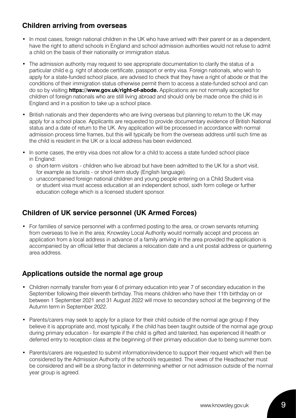## **Children arriving from overseas**

- In most cases, foreign national children in the UK who have arrived with their parent or as a dependent, have the right to attend schools in England and school admission authorities would not refuse to admit a child on the basis of their nationality or immigration status.
- The admission authority may request to see appropriate documentation to clarify the status of a particular child e.g. right of abode certificate, passport or entry visa. Foreign nationals, who wish to apply for a state-funded school place, are advised to check that they have a right of abode or that the conditions of their immigration status otherwise permit them to access a state-funded school and can do so by visiting **https://www.gov.uk/right-of-abode.** Applications are not normally accepted for children of foreign nationals who are still living abroad and should only be made once the child is in England and in a position to take up a school place.
- British nationals and their dependents who are living overseas but planning to return to the UK may apply for a school place. Applicants are requested to provide documentary evidence of British National status and a date of return to the UK. Any application will be processed in accordance with normal admission process time frames, but this will typically be from the overseas address until such time as the child is resident in the UK or a local address has been evidenced.
- In some cases, the entry visa does not allow for a child to access a state funded school place in England:
	- o short-term visitors children who live abroad but have been admitted to the UK for a short visit, for example as tourists - or short-term study (English language).
	- o unaccompanied foreign national children and young people entering on a Child Student visa or student visa must access education at an independent school, sixth form college or further education college which is a licensed student sponsor.

## **Children of UK service personnel (UK Armed Forces)**

• For families of service personnel with a confirmed posting to the area, or crown servants returning from overseas to live in the area; Knowsley Local Authority would normally accept and process an application from a local address in advance of a family arriving in the area provided the application is accompanied by an official letter that declares a relocation date and a unit postal address or quartering area address.

## **Applications outside the normal age group**

- Children normally transfer from year 6 of primary education into year 7 of secondary education in the September following their eleventh birthday. This means children who have their 11th birthday on or between 1 September 2021 and 31 August 2022 will move to secondary school at the beginning of the Autumn term in September 2022.
- Parents/carers may seek to apply for a place for their child outside of the normal age group if they believe it is appropriate and, most typically, if the child has been taught outside of the normal age group during primary education - for example if the child is gifted and talented, has experienced ill health or deferred entry to reception class at the beginning of their primary education due to being summer born.
- Parents/carers are requested to submit information/evidence to support their request which will then be considered by the Admission Authority of the school/s requested. The views of the Headteacher must be considered and will be a strong factor in determining whether or not admission outside of the normal year group is agreed.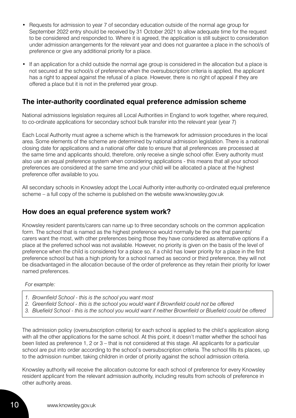- Requests for admission to year 7 of secondary education outside of the normal age group for September 2022 entry should be received by 31 October 2021 to allow adequate time for the request to be considered and responded to. Where it is agreed, the application is still subject to consideration under admission arrangements for the relevant year and does not guarantee a place in the school/s of preference or give any additional priority for a place.
- If an application for a child outside the normal age group is considered in the allocation but a place is not secured at the school/s of preference when the oversubscription criteria is applied, the applicant has a right to appeal against the refusal of a place. However, there is no right of appeal if they are offered a place but it is not in the preferred year group.

## **The inter-authority coordinated equal preference admission scheme**

National admissions legislation requires all Local Authorities in England to work together, where required, to co-ordinate applications for secondary school bulk transfer into the relevant year (year 7)

Each Local Authority must agree a scheme which is the framework for admission procedures in the local area. Some elements of the scheme are determined by national admission legislation. There is a national closing date for applications and a national offer date to ensure that all preferences are processed at the same time and applicants should, therefore, only receive a single school offer. Every authority must also use an equal preference system when considering applications - this means that all your school preferences are considered at the same time and your child will be allocated a place at the highest preference offer available to you.

All secondary schools in Knowsley adopt the Local Authority inter-authority co-ordinated equal preference scheme – a full copy of the scheme is published on the website www.knowsley.gov.uk

### **How does an equal preference system work?**

Knowsley resident parents/carers can name up to three secondary schools on the common application form. The school that is named as the highest preference would normally be the one that parents/ carers want the most, with other preferences being those they have considered as alternative options if a place at the preferred school was not available. However, no priority is given on the basis of the level of preference when the child is considered for a place so, if a child has lower priority for a place in the first preference school but has a high priority for a school named as second or third preference, they will not be disadvantaged in the allocation because of the order of preference as they retain their priority for lower named preferences.

#### *For example:*

- *1. Brownfield School this is the school you want most*
- *2. Greenfield School this is the school you would want if Brownfield could not be offered*
- *3. Bluefield School this is the school you would want if neither Brownfield or Bluefield could be offered*

The admission policy (oversubscription criteria) for each school is applied to the child's application along with all the other applications for the same school. At this point, it doesn't matter whether the school has been listed as preference 1, 2 or 3 – that is not considered at this stage. All applicants for a particular school are put into order according to the school's oversubscription criteria. The school fills its places, up to the admission number, taking children in order of priority against the school admission criteria.

Knowsley authority will receive the allocation outcome for each school of preference for every Knowsley resident applicant from the relevant admission authority, including results from schools of preference in other authority areas.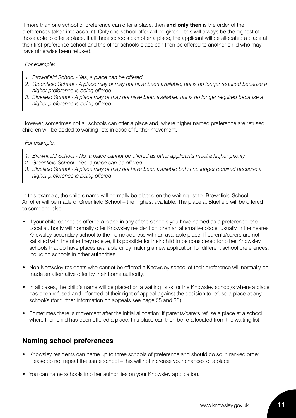If more than one school of preference can offer a place, then **and only then** is the order of the preferences taken into account. Only one school offer will be given – this will always be the highest of those able to offer a place. If all three schools can offer a place, the applicant will be allocated a place at their first preference school and the other schools place can then be offered to another child who may have otherwise been refused.

#### *For example:*

- *1. Brownfield School Yes, a place can be offered*
- *2. Greenfield School A place may or may not have been available, but is no longer required because a higher preference is being offered*
- *3. Bluefield School A place may or may not have been available, but is no longer required because a higher preference is being offered*

However, sometimes not all schools can offer a place and, where higher named preference are refused, children will be added to waiting lists in case of further movement:

#### *For example:*

- *1. Brownfield School No, a place cannot be offered as other applicants meet a higher priority*
- *2. Greenfield School Yes, a place can be offered*
- *3. Bluefield School A place may or may not have been available but is no longer required because a higher preference is being offered*

In this example, the child's name will normally be placed on the waiting list for Brownfield School. An offer will be made of Greenfield School – the highest available. The place at Bluefield will be offered to someone else.

- If your child cannot be offered a place in any of the schools you have named as a preference, the Local authority will normally offer Knowsley resident children an alternative place, usually in the nearest Knowsley secondary school to the home address with an available place. If parents/carers are not satisfied with the offer they receive, it is possible for their child to be considered for other Knowsley schools that do have places available or by making a new application for different school preferences, including schools in other authorities.
- Non-Knowsley residents who cannot be offered a Knowsley school of their preference will normally be made an alternative offer by their home authority.
- In all cases, the child's name will be placed on a waiting list/s for the Knowsley school/s where a place has been refused and informed of their right of appeal against the decision to refuse a place at any school/s (for further information on appeals see page 35 and 36).
- Sometimes there is movement after the initial allocation; if parents/carers refuse a place at a school where their child has been offered a place, this place can then be re-allocated from the waiting list.

## **Naming school preferences**

- Knowsley residents can name up to three schools of preference and should do so in ranked order. Please do not repeat the same school – this will not increase your chances of a place.
- You can name schools in other authorities on your Knowsley application.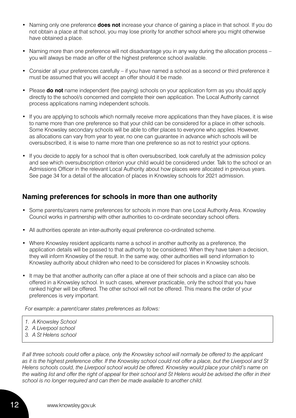- Naming only one preference **does not** increase your chance of gaining a place in that school. If you do not obtain a place at that school, you may lose priority for another school where you might otherwise have obtained a place.
- Naming more than one preference will not disadvantage you in any way during the allocation process you will always be made an offer of the highest preference school available.
- Consider all your preferences carefully if you have named a school as a second or third preference it must be assumed that you will accept an offer should it be made.
- Please **do not** name independent (fee paying) schools on your application form as you should apply directly to the school/s concerned and complete their own application. The Local Authority cannot process applications naming independent schools.
- If you are applying to schools which normally receive more applications than they have places, it is wise to name more than one preference so that your child can be considered for a place in other schools. Some Knowsley secondary schools will be able to offer places to everyone who applies. However, as allocations can vary from year to year, no one can guarantee in advance which schools will be oversubscribed, it is wise to name more than one preference so as not to restrict your options.
- If you decide to apply for a school that is often oversubscribed, look carefully at the admission policy and see which oversubscription criterion your child would be considered under. Talk to the school or an Admissions Officer in the relevant Local Authority about how places were allocated in previous years. See page 34 for a detail of the allocation of places in Knowsley schools for 2021 admission.

### **Naming preferences for schools in more than one authority**

- Some parents/carers name preferences for schools in more than one Local Authority Area. Knowsley Council works in partnership with other authorities to co-ordinate secondary school offers.
- All authorities operate an inter-authority equal preference co-ordinated scheme.
- Where Knowsley resident applicants name a school in another authority as a preference, the application details will be passed to that authority to be considered. When they have taken a decision, they will inform Knowsley of the result. In the same way, other authorities will send information to Knowsley authority about children who need to be considered for places in Knowsley schools.
- It may be that another authority can offer a place at one of their schools and a place can also be offered in a Knowsley school. In such cases, wherever practicable, only the school that you have ranked higher will be offered. The other school will not be offered. This means the order of your preferences is very important.

*For example: a parent/carer states preferences as follows:*

- *1. A Knowsley School*
- *2. A Liverpool school*
- *3. A St Helens school*

*If all three schools could offer a place, only the Knowsley school will normally be offered to the applicant as it is the highest preference offer. If the Knowsley school could not offer a place, but the Liverpool and St Helens schools could, the Liverpool school would be offered. Knowsley would place your child's name on*  the waiting list and offer the right of appeal for their school and St Helens would be advised the offer in their *school is no longer required and can then be made available to another child.*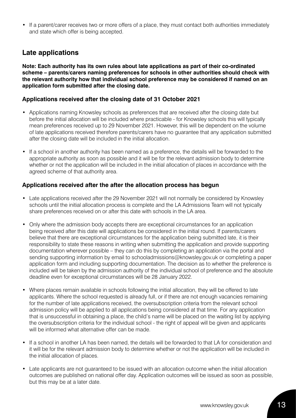• If a parent/carer receives two or more offers of a place, they must contact both authorities immediately and state which offer is being accepted.

## **Late applications**

**Note: Each authority has its own rules about late applications as part of their co-ordinated scheme – parents/carers naming preferences for schools in other authorities should check with the relevant authority how that individual school preference may be considered if named on an application form submitted after the closing date.**

#### **Applications received after the closing date of 31 October 2021**

- Applications naming Knowsley schools as preferences that are received after the closing date but before the initial allocation will be included where practicable - for Knowsley schools this will typically mean preferences received up to 29 November 2021. However, this will be dependent on the volume of late applications received therefore parents/carers have no guarantee that any application submitted after the closing date will be included in the initial allocation.
- If a school in another authority has been named as a preference, the details will be forwarded to the appropriate authority as soon as possible and it will be for the relevant admission body to determine whether or not the application will be included in the initial allocation of places in accordance with the agreed scheme of that authority area.

#### **Applications received after the after the allocation process has begun**

- Late applications received after the 29 November 2021 will not normally be considered by Knowsley schools until the initial allocation process is complete and the LA Admissions Team will not typically share preferences received on or after this date with schools in the LA area.
- Only where the admission body accepts there are exceptional circumstances for an application being received after this date will applications be considered in the initial round. If parents/carers believe that there are exceptional circumstances for the application being submitted late, it is their responsibility to state these reasons in writing when submitting the application and provide supporting documentation wherever possible – they can do this by completing an application via the portal and sending supporting information by email to schooladmissions@knowsley.gov.uk or completing a paper application form and including supporting documentation. The decision as to whether the preference is included will be taken by the admission authority of the individual school of preference and the absolute deadline even for exceptional circumstances will be 28 January 2022.
- Where places remain available in schools following the initial allocation, they will be offered to late applicants. Where the school requested is already full, or if there are not enough vacancies remaining for the number of late applications received, the oversubscription criteria from the relevant school admission policy will be applied to all applications being considered at that time. For any application that is unsuccessful in obtaining a place, the child's name will be placed on the waiting list by applying the oversubscription criteria for the individual school - the right of appeal will be given and applicants will be informed what alternative offer can be made.
- If a school in another LA has been named, the details will be forwarded to that LA for consideration and it will be for the relevant admission body to determine whether or not the application will be included in the initial allocation of places.
- Late applicants are not guaranteed to be issued with an allocation outcome when the initial allocation outcomes are published on national offer day. Application outcomes will be issued as soon as possible, but this may be at a later date.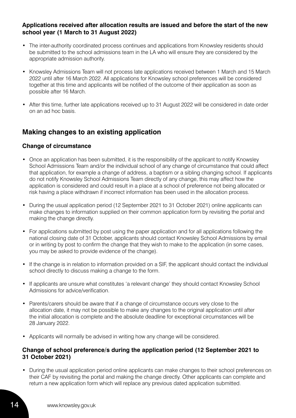#### **Applications received after allocation results are issued and before the start of the new school year (1 March to 31 August 2022)**

- The inter-authority coordinated process continues and applications from Knowsley residents should be submitted to the school admissions team in the LA who will ensure they are considered by the appropriate admission authority.
- Knowsley Admissions Team will not process late applications received between 1 March and 15 March 2022 until after 16 March 2022. All applications for Knowsley school preferences will be considered together at this time and applicants will be notified of the outcome of their application as soon as possible after 16 March.
- After this time, further late applications received up to 31 August 2022 will be considered in date order on an ad hoc basis.

## **Making changes to an existing application**

#### **Change of circumstance**

- Once an application has been submitted, it is the responsibility of the applicant to notify Knowsley School Admissions Team and/or the individual school of any change of circumstance that could affect that application, for example a change of address, a baptism or a sibling changing school. If applicants do not notify Knowsley School Admissions Team directly of any change, this may affect how the application is considered and could result in a place at a school of preference not being allocated or risk having a place withdrawn if incorrect information has been used in the allocation process.
- During the usual application period (12 September 2021 to 31 October 2021) online applicants can make changes to information supplied on their common application form by revisiting the portal and making the change directly.
- For applications submitted by post using the paper application and for all applications following the national closing date of 31 October, applicants should contact Knowsley School Admissions by email or in writing by post to confirm the change that they wish to make to the application (in some cases, you may be asked to provide evidence of the change).
- If the change is in relation to information provided on a SIF, the applicant should contact the individual school directly to discuss making a change to the form.
- If applicants are unsure what constitutes 'a relevant change' they should contact Knowsley School Admissions for advice/verification.
- Parents/carers should be aware that if a change of circumstance occurs very close to the allocation date, it may not be possible to make any changes to the original application until after the initial allocation is complete and the absolute deadline for exceptional circumstances will be 28 January 2022.
- Applicants will normally be advised in writing how any change will be considered.

#### **Change of school preference/s during the application period (12 September 2021 to 31 October 2021)**

• During the usual application period online applicants can make changes to their school preferences on their CAF by revisiting the portal and making the change directly. Other applicants can complete and return a new application form which will replace any previous dated application submitted.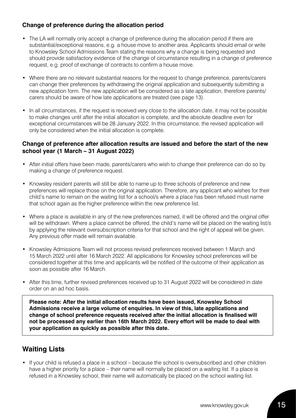### **Change of preference during the allocation period**

- The LA will normally only accept a change of preference during the allocation period if there are substantial/exceptional reasons, e.g. a house move to another area. Applicants should email or write to Knowsley School Admissions Team stating the reasons why a change is being requested and should provide satisfactory evidence of the change of circumstance resulting in a change of preference request, e.g. proof of exchange of contracts to confirm a house move.
- Where there are no relevant substantial reasons for the request to change preference, parents/carers can change their preferences by withdrawing the original application and subsequently submitting a new application form. The new application will be considered as a late application, therefore parents/ carers should be aware of how late applications are treated (see page 13).
- In all circumstances, if the request is received very close to the allocation date, it may not be possible to make changes until after the initial allocation is complete, and the absolute deadline even for exceptional circumstances will be 28 January 2022. In this circumstance, the revised application will only be considered when the initial allocation is complete.

#### **Change of preference after allocation results are issued and before the start of the new school year (1 March – 31 August 2022)**

- After initial offers have been made, parents/carers who wish to change their preference can do so by making a change of preference request.
- Knowsley resident parents will still be able to name up to three schools of preference and new preferences will replace those on the original application. Therefore, any applicant who wishes for their child's name to remain on the waiting list for a school/s where a place has been refused must name that school again as the higher preference within the new preference list.
- Where a place is available in any of the new preferences named, it will be offered and the original offer will be withdrawn. Where a place cannot be offered, the child's name will be placed on the waiting list/s by applying the relevant oversubscription criteria for that school and the right of appeal will be given. Any previous offer made will remain available.
- Knowsley Admissions Team will not process revised preferences received between 1 March and 15 March 2022 until after 16 March 2022. All applications for Knowsley school preferences will be considered together at this time and applicants will be notified of the outcome of their application as soon as possible after 16 March.
- After this time, further revised preferences received up to 31 August 2022 will be considered in date order on an ad hoc basis.

**Please note: After the initial allocation results have been issued, Knowsley School Admissions receive a large volume of enquiries. In view of this, late applications and change of school preference requests received after the initial allocation is finalised will not be processed any earlier than 16th March 2022. Every effort will be made to deal with your application as quickly as possible after this date.** 

## **Waiting Lists**

• If your child is refused a place in a school – because the school is oversubscribed and other children have a higher priority for a place – their name will normally be placed on a waiting list. If a place is refused in a Knowsley school, their name will automatically be placed on the school waiting list.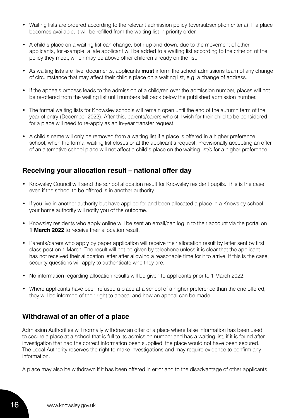- Waiting lists are ordered according to the relevant admission policy (oversubscription criteria). If a place becomes available, it will be refilled from the waiting list in priority order.
- A child's place on a waiting list can change, both up and down, due to the movement of other applicants, for example, a late applicant will be added to a waiting list according to the criterion of the policy they meet, which may be above other children already on the list.
- As waiting lists are 'live' documents, applicants **must** inform the school admissions team of any change of circumstance that may affect their child's place on a waiting list, e.g. a change of address.
- If the appeals process leads to the admission of a child/ren over the admission number, places will not be re-offered from the waiting list until numbers fall back below the published admission number.
- The formal waiting lists for Knowsley schools will remain open until the end of the autumn term of the year of entry (December 2022). After this, parents/carers who still wish for their child to be considered for a place will need to re-apply as an in-year transfer request.
- A child's name will only be removed from a waiting list if a place is offered in a higher preference school, when the formal waiting list closes or at the applicant's request. Provisionally accepting an offer of an alternative school place will not affect a child's place on the waiting list/s for a higher preference.

### **Receiving your allocation result – national offer day**

- Knowsley Council will send the school allocation result for Knowsley resident pupils. This is the case even if the school to be offered is in another authority.
- If you live in another authority but have applied for and been allocated a place in a Knowsley school, your home authority will notify you of the outcome.
- Knowsley residents who apply online will be sent an email/can log in to their account via the portal on **1 March 2022** to receive their allocation result.
- Parents/carers who apply by paper application will receive their allocation result by letter sent by first class post on 1 March. The result will not be given by telephone unless it is clear that the applicant has not received their allocation letter after allowing a reasonable time for it to arrive. If this is the case, security questions will apply to authenticate who they are.
- No information regarding allocation results will be given to applicants prior to 1 March 2022.
- Where applicants have been refused a place at a school of a higher preference than the one offered, they will be informed of their right to appeal and how an appeal can be made.

### **Withdrawal of an offer of a place**

Admission Authorities will normally withdraw an offer of a place where false information has been used to secure a place at a school that is full to its admission number and has a waiting list, if it is found after investigation that had the correct information been supplied, the place would not have been secured. The Local Authority reserves the right to make investigations and may require evidence to confirm any information.

A place may also be withdrawn if it has been offered in error and to the disadvantage of other applicants.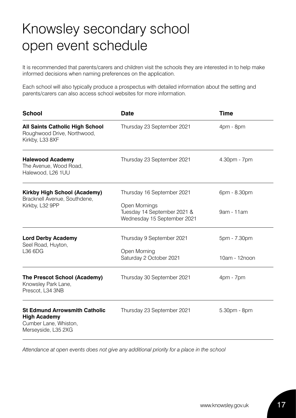## Knowsley secondary school open event schedule

It is recommended that parents/carers and children visit the schools they are interested in to help make informed decisions when naming preferences on the application.

Each school will also typically produce a prospectus with detailed information about the setting and parents/carers can also access school websites for more information.

| <b>School</b>                                                                                               | <b>Date</b>                                                                                               | <b>Time</b>                   |
|-------------------------------------------------------------------------------------------------------------|-----------------------------------------------------------------------------------------------------------|-------------------------------|
| <b>All Saints Catholic High School</b><br>Roughwood Drive, Northwood,<br>Kirkby, L33 8XF                    | Thursday 23 September 2021                                                                                | 4pm - 8pm                     |
| <b>Halewood Academy</b><br>The Avenue, Wood Road,<br>Halewood, L26 1UU                                      | Thursday 23 September 2021                                                                                | 4.30pm - 7pm                  |
| <b>Kirkby High School (Academy)</b><br>Bracknell Avenue, Southdene,<br>Kirkby, L32 9PP                      | Thursday 16 September 2021<br>Open Mornings<br>Tuesday 14 September 2021 &<br>Wednesday 15 September 2021 | 6pm - 8.30pm<br>9am - 11am    |
| <b>Lord Derby Academy</b><br>Seel Road, Huyton,<br>L36 6DG                                                  | Thursday 9 September 2021<br>Open Morning<br>Saturday 2 October 2021                                      | 5pm - 7.30pm<br>10am - 12noon |
| The Prescot School (Academy)<br>Knowsley Park Lane,<br>Prescot, L34 3NB                                     | Thursday 30 September 2021                                                                                | 4pm - 7pm                     |
| <b>St Edmund Arrowsmith Catholic</b><br><b>High Academy</b><br>Cumber Lane, Whiston,<br>Merseyside, L35 2XG | Thursday 23 September 2021                                                                                | 5.30pm - 8pm                  |

*Attendance at open events does not give any additional priority for a place in the school*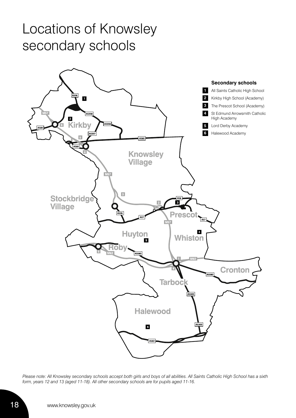## Locations of Knowsley secondary schools



*Please note: All Knowsley secondary schools accept both girls and boys of all abilities. All Saints Catholic High School has a sixth form, years 12 and 13 (aged 11-18). All other secondary schools are for pupils aged 11-16.*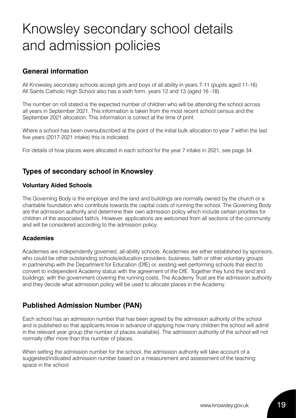## Knowsley secondary school details and admission policies

## **General information**

All Knowsley secondary schools accept girls and boys of all ability in years 7-11 (pupils aged 11-16) All Saints Catholic High School also has a sixth form, years 12 and 13 (aged 16 -18).

The number on roll stated is the expected number of children who will be attending the school across all years in September 2021. This information is taken from the most recent school census and the September 2021 allocation. This information is correct at the time of print.

Where a school has been oversubscribed at the point of the initial bulk allocation to year 7 within the last five years (2017-2021 intake) this is indicated.

For details of how places were allocated in each school for the year 7 intake in 2021, see page 34.

## **Types of secondary school in Knowsley**

#### **Voluntary Aided Schools**

The Governing Body is the employer and the land and buildings are normally owned by the church or a charitable foundation who contribute towards the capital costs of running the school. The Governing Body are the admission authority and determine their own admission policy which include certain priorities for children of the associated faith/s. However, applications are welcomed from all sections of the community and will be considered according to the admission policy.

#### **Academies**

Academies are independently governed, all-ability schools. Academies are either established by sponsors, who could be other outstanding schools/education providers, business, faith or other voluntary groups in partnership with the Department for Education (DfE) or, existing well performing schools that elect to convert to independent Academy status with the agreement of the DfE. Together they fund the land and buildings, with the government covering the running costs. The Academy Trust are the admission authority and they decide what admission policy will be used to allocate places in the Academy.

## **Published Admission Number (PAN)**

Each school has an admission number that has been agreed by the admission authority of the school and is published so that applicants know in advance of applying how many children the school will admit in the relevant year group (the number of places available). The admission authority of the school will not normally offer more than this number of places.

When setting the admission number for the school, the admission authority will take account of a suggested/indicated admission number based on a measurement and assessment of the teaching space in the school.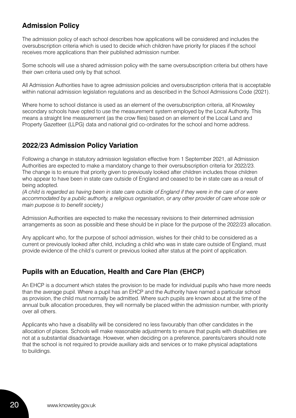## **Admission Policy**

The admission policy of each school describes how applications will be considered and includes the oversubscription criteria which is used to decide which children have priority for places if the school receives more applications than their published admission number.

Some schools will use a shared admission policy with the same oversubscription criteria but others have their own criteria used only by that school.

All Admission Authorities have to agree admission policies and oversubscription criteria that is acceptable within national admission legislation regulations and as described in the School Admissions Code (2021).

Where home to school distance is used as an element of the oversubscription criteria, all Knowsley secondary schools have opted to use the measurement system employed by the Local Authority. This means a straight line measurement (as the crow flies) based on an element of the Local Land and Property Gazetteer (LLPG) data and national grid co-ordinates for the school and home address.

## **2022/23 Admission Policy Variation**

Following a change in statutory admission legislation effective from 1 September 2021, all Admission Authorities are expected to make a mandatory change to their oversubscription criteria for 2022/23. The change is to ensure that priority given to previously looked after children includes those children who appear to have been in state care outside of England and ceased to be in state care as a result of being adopted.

*(A child is regarded as having been in state care outside of England if they were in the care of or were accommodated by a public authority, a religious organisation, or any other provider of care whose sole or main purpose is to benefit society.)* 

Admission Authorities are expected to make the necessary revisions to their determined admission arrangements as soon as possible and these should be in place for the purpose of the 2022/23 allocation.

Any applicant who, for the purpose of school admission, wishes for their child to be considered as a current or previously looked after child, including a child who was in state care outside of England, must provide evidence of the child's current or previous looked after status at the point of application.

## **Pupils with an Education, Health and Care Plan (EHCP)**

An EHCP is a document which states the provision to be made for individual pupils who have more needs than the average pupil. Where a pupil has an EHCP and the Authority have named a particular school as provision, the child must normally be admitted. Where such pupils are known about at the time of the annual bulk allocation procedures, they will normally be placed within the admission number, with priority over all others.

Applicants who have a disability will be considered no less favourably than other candidates in the allocation of places. Schools will make reasonable adjustments to ensure that pupils with disabilities are not at a substantial disadvantage. However, when deciding on a preference, parents/carers should note that the school is not required to provide auxiliary aids and services or to make physical adaptations to buildings.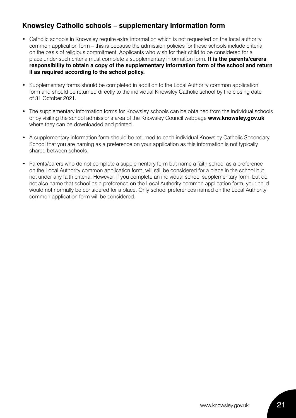## **Knowsley Catholic schools – supplementary information form**

- Catholic schools in Knowsley require extra information which is not requested on the local authority common application form – this is because the admission policies for these schools include criteria on the basis of religious commitment. Applicants who wish for their child to be considered for a place under such criteria must complete a supplementary information form. **It is the parents/carers responsibility to obtain a copy of the supplementary information form of the school and return it as required according to the school policy.**
- Supplementary forms should be completed in addition to the Local Authority common application form and should be returned directly to the individual Knowsley Catholic school by the closing date of 31 October 2021.
- The supplementary information forms for Knowsley schools can be obtained from the individual schools or by visiting the school admissions area of the Knowsley Council webpage **www.knowsley.gov.uk** where they can be downloaded and printed.
- A supplementary information form should be returned to each individual Knowsley Catholic Secondary School that you are naming as a preference on your application as this information is not typically shared between schools.
- Parents/carers who do not complete a supplementary form but name a faith school as a preference on the Local Authority common application form, will still be considered for a place in the school but not under any faith criteria. However, if you complete an individual school supplementary form, but do not also name that school as a preference on the Local Authority common application form, your child would not normally be considered for a place. Only school preferences named on the Local Authority common application form will be considered.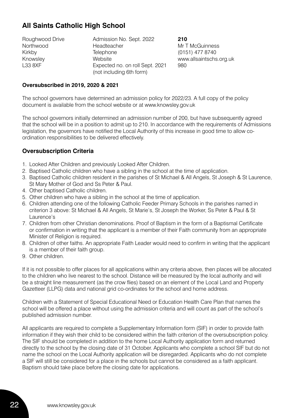## **All Saints Catholic High School**

| Roughwood Drive | Admission No. Sept. 2022        | 210        |
|-----------------|---------------------------------|------------|
| Northwood       | Headteacher                     | Mr T       |
| Kirkby          | Telephone                       | (015)      |
| Knowsley        | Website                         | <b>WWW</b> |
| L33 8XF         | Expected no. on roll Sept. 2021 | 980        |
|                 | (not including 6th form)        |            |

Mr T McGuinness (0151) 477 8740 www.allsaintschs.org.uk

#### **Oversubscribed in 2019, 2020 & 2021**

The school governors have determined an admission policy for 2022/23. A full copy of the policy document is available from the school website or at www.knowsley.gov.uk

The school governors initially determined an admission number of 200, but have subsequently agreed that the school will be in a position to admit up to 210. In accordance with the requirements of Admissions legislation, the governors have notified the Local Authority of this increase in good time to allow coordination responsibilities to be delivered effectively.

#### **Oversubscription Criteria**

- 1. Looked After Children and previously Looked After Children.
- 2. Baptised Catholic children who have a sibling in the school at the time of application.
- 3. Baptised Catholic children resident in the parishes of St Michael & All Angels, St Joseph & St Laurence, St Mary Mother of God and Ss Peter & Paul.
- 4. Other baptised Catholic children.
- 5. Other children who have a sibling in the school at the time of application.
- 6. Children attending one of the following Catholic Feeder Primary Schools in the parishes named in criterion 3 above: St Michael & All Angels, St Marie's, St Joseph the Worker, Ss Peter & Paul & St Laurence's
- 7. Children from other Christian denominations. Proof of Baptism in the form of a Baptismal Certificate or confirmation in writing that the applicant is a member of their Faith community from an appropriate Minister of Religion is required.
- 8. Children of other faiths. An appropriate Faith Leader would need to confirm in writing that the applicant is a member of their faith group.
- 9. Other children.

If it is not possible to offer places for all applications within any criteria above, then places will be allocated to the children who live nearest to the school. Distance will be measured by the local authority and will be a straight line measurement (as the crow flies) based on an element of the Local Land and Property Gazetteer (LLPG) data and national grid co-ordinates for the school and home address.

Children with a Statement of Special Educational Need or Education Health Care Plan that names the school will be offered a place without using the admission criteria and will count as part of the school's published admission number.

All applicants are required to complete a Supplementary Information form (SIF) in order to provide faith information if they wish their child to be considered within the faith criterion of the oversubscription policy. The SIF should be completed in addition to the home Local Authority application form and returned directly to the school by the closing date of 31 October. Applicants who complete a school SIF but do not name the school on the Local Authority application will be disregarded. Applicants who do not complete a SIF will still be considered for a place in the schools but cannot be considered as a faith applicant. Baptism should take place before the closing date for applications.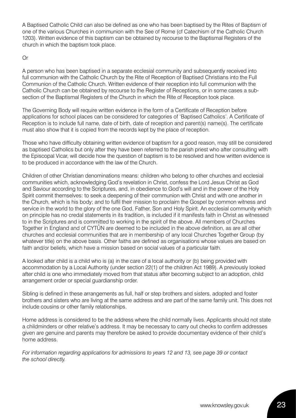A Baptised Catholic Child can also be defined as one who has been baptised by the Rites of Baptism of one of the various Churches in communion with the See of Rome (cf Catechism of the Catholic Church 1203). Written evidence of this baptism can be obtained by recourse to the Baptismal Registers of the church in which the baptism took place.

#### Or

A person who has been baptised in a separate ecclesial community and subsequently received into full communion with the Catholic Church by the Rite of Reception of Baptised Christians into the Full Communion of the Catholic Church. Written evidence of their reception into full communion with the Catholic Church can be obtained by recourse to the Register of Receptions, or in some cases a subsection of the Baptismal Registers of the Church in which the Rite of Reception took place.

The Governing Body will require written evidence in the form of a Certificate of Reception before applications for school places can be considered for categories of 'Baptised Catholics'. A Certificate of Reception is to include full name, date of birth, date of reception and parent(s) name(s). The certificate must also show that it is copied from the records kept by the place of reception.

Those who have difficulty obtaining written evidence of baptism for a good reason, may still be considered as baptised Catholics but only after they have been referred to the parish priest who after consulting with the Episcopal Vicar, will decide how the question of baptism is to be resolved and how written evidence is to be produced in accordance with the law of the Church.

Children of other Christian denominations means: children who belong to other churches and ecclesial communities which, acknowledging God's revelation in Christ, confess the Lord Jesus Christ as God and Saviour according to the Scriptures, and, in obedience to God's will and in the power of the Holy Spirit commit themselves: to seek a deepening of their communion with Christ and with one another in the Church, which is his body; and to fulfil their mission to proclaim the Gospel by common witness and service in the world to the glory of the one God, Father, Son and Holy Spirit. An ecclesial community which on principle has no credal statements in its tradition, is included if it manifests faith in Christ as witnessed to in the Scriptures and is committed to working in the spirit of the above. All members of Churches Together in England and of CYTÛN are deemed to be included in the above definition, as are all other churches and ecclesial communities that are in membership of any local Churches Together Group (by whatever title) on the above basis. Other faiths are defined as organisations whose values are based on faith and/or beliefs, which have a mission based on social values of a particular faith.

A looked after child is a child who is (a) in the care of a local authority or (b) being provided with accommodation by a Local Authority (under section 22(1) of the children Act 1989). A previously looked after child is one who immediately moved from that status after becoming subject to an adoption, child arrangement order or special guardianship order.

Sibling is defined in these arrangements as full, half or step brothers and sisters, adopted and foster brothers and sisters who are living at the same address and are part of the same family unit. This does not include cousins or other family relationships.

Home address is considered to be the address where the child normally lives. Applicants should not state a childminders or other relative's address. It may be necessary to carry out checks to confirm addresses given are genuine and parents may therefore be asked to provide documentary evidence of their child's home address.

*For information regarding applications for admissions to years 12 and 13, see page 39 or contact the school directly.*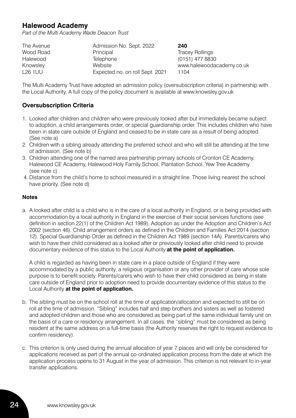## **Halewood Academy**

*Part of the Multi Academy Wade Deacon Trust*

| The Avenue     | Admission No. Sept. 2022        | 240                       |
|----------------|---------------------------------|---------------------------|
| Wood Road      | Principal                       | <b>Tracey Rollings</b>    |
| Halewood       | Telephone                       | (0151) 477 8830           |
| Knowsley       | Website                         | www.halewoodacademy.co.uk |
| <b>L26 1UU</b> | Expected no. on roll Sept. 2021 | 1104                      |

The Multi Academy Trust have adopted an admission policy (oversubscription criteria) in partnership with the Local Authority. A full copy of the policy document is available at www.knowsley.gov.uk

#### **Oversubscription Criteria**

- 1. Looked after children and children who were previously looked after but immediately became subject to adoption, a child arrangements order, or special guardianship order. This includes children who have been in state care outside of England and ceased to be in state care as a result of being adopted. (See note a)
- 2. Children with a sibling already attending the preferred school and who will still be attending at the time of admission. (See note b)
- 3. Children attending one of the named area partnership primary schools of Cronton CE Academy, Halewood CE Academy, Halewood Holy Family School, Plantation School, Yew Tree Academy. (see note c)
- 4. Distance from the child's home to school measured in a straight line. Those living nearest the school have priority. (See note d)

#### **Notes**

a. A looked after child is a child who is in the care of a local authority in England, or is being provided with accommodation by a local authority in England in the exercise of their social services functions (see definition in section 22(1) of the Children Act 1989). Adoption as under the Adoption and Children's Act 2002 (section 46). Child arrangement orders as defined in the Children and Families Act 2014 (section 12). Special Guardianship Order as defined in the Children Act 1989 (section 14A). Parents/carers who wish to have their child considered as a looked after or previously looked after child need to provide documentary evidence of this status to the Local Authority **at the point of application.**

A child is regarded as having been in state care in a place outside of England if they were accommodated by a public authority, a religious organisation or any other provider of care whose sole purpose is to benefit society. Parents/carers who wish to have their child considered as being in state care outside of England prior to adoption need to provide documentary evidence of this status to the Local Authority **at the point of application.**

- b. The sibling must be on the school roll at the time of application/allocation and expected to still be on roll at the time of admission. "Sibling" includes half and step brothers and sisters as well as fostered and adopted children and those who are considered as being part of the same individual family unit on the basis of a care or residency arrangement. In all cases, the "sibling" must be considered as being resident at the same address on a full-time basis (the Authority reserves the right to request evidence to confirm residency).
- c. This criterion is only used during the annual allocation of year 7 places and will only be considered for applications received as part of the annual co-ordinated application process from the date at which the application process opens to 31 August in the year of admission. This criterion is not relevant to in-year transfer applications.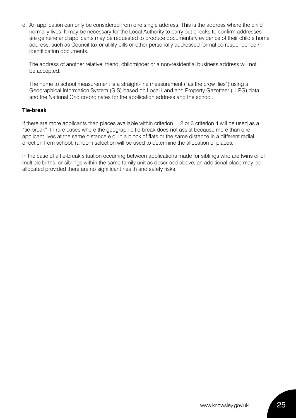d. An application can only be considered from one single address. This is the address where the child normally lives. It may be necessary for the Local Authority to carry out checks to confirm addresses are genuine and applicants may be requested to produce documentary evidence of their child's home address, such as Council tax or utility bills or other personally addressed formal correspondence / identification documents.

The address of another relative, friend, childminder or a non-residential business address will not be accepted.

The home to school measurement is a straight-line measurement ("as the crow flies") using a Geographical Information System (GIS) based on Local Land and Property Gazetteer (LLPG) data and the National Grid co-ordinates for the application address and the school.

#### **Tie-break**

If there are more applicants than places available within criterion 1, 2 or 3 criterion 4 will be used as a "tie-break". In rare cases where the geographic tie-break does not assist because more than one applicant lives at the same distance e.g. in a block of flats or the same distance in a different radial direction from school, random selection will be used to determine the allocation of places.

In the case of a tie-break situation occurring between applications made for siblings who are twins or of multiple births, or siblings within the same family unit as described above, an additional place may be allocated provided there are no significant health and safety risks.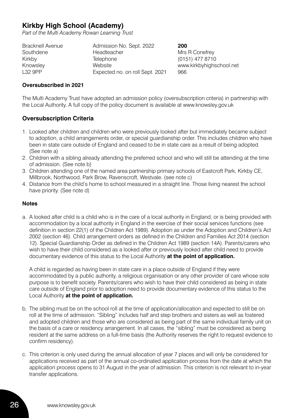## **Kirkby High School (Academy)**

*Part of the Multi Academy Rowan Learning Trust*

| Admission No. Sept. 2022        | 200                      |
|---------------------------------|--------------------------|
| Headteacher                     | Mrs R Conefrey           |
| Telephone                       | (0151) 477 8710          |
| Website                         | www.kirkbyhighschool.net |
| Expected no. on roll Sept. 2021 | 966                      |
|                                 |                          |

#### **Oversubscribed in 2021**

The Multi Academy Trust have adopted an admission policy (oversubscription criteria) in partnership with the Local Authority. A full copy of the policy document is available at www.knowsley.gov.uk

#### **Oversubscription Criteria**

- 1. Looked after children and children who were previously looked after but immediately became subject to adoption, a child arrangements order, or special guardianship order. This includes children who have been in state care outside of England and ceased to be in state care as a result of being adopted. (See note a)
- 2. Children with a sibling already attending the preferred school and who will still be attending at the time of admission. (See note b)
- 3. Children attending one of the named area partnership primary schools of Eastcroft Park, Kirkby CE, Millbrook, Northwood, Park Brow, Ravenscroft, Westvale. (see note c)
- 4. Distance from the child's home to school measured in a straight line. Those living nearest the school have priority. (See note d)

#### **Notes**

a. A looked after child is a child who is in the care of a local authority in England, or is being provided with accommodation by a local authority in England in the exercise of their social services functions (see definition in section 22(1) of the Children Act 1989). Adoption as under the Adoption and Children's Act 2002 (section 46). Child arrangement orders as defined in the Children and Families Act 2014 (section 12). Special Guardianship Order as defined in the Children Act 1989 (section 14A). Parents/carers who wish to have their child considered as a looked after or previously looked after child need to provide documentary evidence of this status to the Local Authority **at the point of application.** 

A child is regarded as having been in state care in a place outside of England if they were accommodated by a public authority, a religious organisation or any other provider of care whose sole purpose is to benefit society. Parents/carers who wish to have their child considered as being in state care outside of England prior to adoption need to provide documentary evidence of this status to the Local Authority **at the point of application.**

- b. The sibling must be on the school roll at the time of application/allocation and expected to still be on roll at the time of admission. "Sibling" includes half and step brothers and sisters as well as fostered and adopted children and those who are considered as being part of the same individual family unit on the basis of a care or residency arrangement. In all cases, the "sibling" must be considered as being resident at the same address on a full-time basis (the Authority reserves the right to request evidence to confirm residency).
- c. This criterion is only used during the annual allocation of year 7 places and will only be considered for applications received as part of the annual co-ordinated application process from the date at which the application process opens to 31 August in the year of admission. This criterion is not relevant to in-year transfer applications.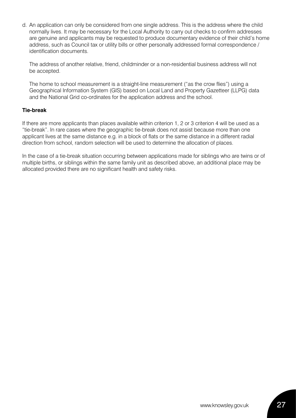d. An application can only be considered from one single address. This is the address where the child normally lives. It may be necessary for the Local Authority to carry out checks to confirm addresses are genuine and applicants may be requested to produce documentary evidence of their child's home address, such as Council tax or utility bills or other personally addressed formal correspondence / identification documents.

The address of another relative, friend, childminder or a non-residential business address will not be accepted.

The home to school measurement is a straight-line measurement ("as the crow flies") using a Geographical Information System (GIS) based on Local Land and Property Gazetteer (LLPG) data and the National Grid co-ordinates for the application address and the school.

#### **Tie-break**

If there are more applicants than places available within criterion 1, 2 or 3 criterion 4 will be used as a "tie-break". In rare cases where the geographic tie-break does not assist because more than one applicant lives at the same distance e.g. in a block of flats or the same distance in a different radial direction from school, random selection will be used to determine the allocation of places.

In the case of a tie-break situation occurring between applications made for siblings who are twins or of multiple births, or siblings within the same family unit as described above, an additional place may be allocated provided there are no significant health and safety risks.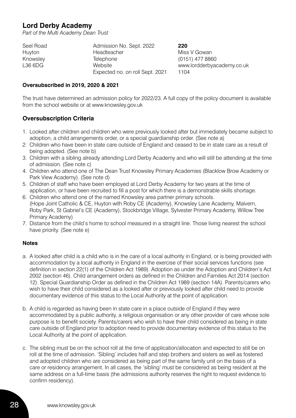## **Lord Derby Academy**

*Part of the Multi Academy Dean Trust*

| Seel Road | Admission No. Sept. 2022        | 220                        |
|-----------|---------------------------------|----------------------------|
| Huyton    | Headteacher                     | Miss V Gowan               |
| Knowsley  | Telephone                       | (0151) 477 8860            |
| L36 6DG   | Website                         | www.lordderbyacademy.co.uk |
|           | Expected no. on roll Sept. 2021 | 1104                       |

#### **Oversubscribed in 2019, 2020 & 2021**

The trust have determined an admission policy for 2022/23. A full copy of the policy document is available from the school website or at www.knowsley.gov.uk

#### **Oversubscription Criteria**

- 1. Looked after children and children who were previously looked after but immediately became subject to adoption, a child arrangements order, or a special guardianship order. (See note a)
- 2. Children who have been in state care outside of England and ceased to be in state care as a result of being adopted. (See note b)
- 3. Children with a sibling already attending Lord Derby Academy and who will still be attending at the time of admission. (See note c)
- 4. Children who attend one of The Dean Trust Knowsley Primary Academies (Blacklow Brow Academy or Park View Academy). (See note d)
- 5. Children of staff who have been employed at Lord Derby Academy for two years at the time of application, or have been recruited to fill a post for which there is a demonstrable skills shortage.
- 6. Children who attend one of the named Knowsley area partner primary schools. (Hope Joint Catholic & CE, Huyton with Roby CE (Academy), Knowsley Lane Academy, Malvern, Roby Park, St Gabriel's CE (Academy), Stockbridge Village, Sylvester Primary Academy, Willow Tree Primary Academy)
- 7. Distance from the child's home to school measured in a straight line. Those living nearest the school have priority. (See note e)

#### **Notes**

- a. A looked after child is a child who is in the care of a local authority in England, or is being provided with accommodation by a local authority in England in the exercise of their social services functions (see definition in section 22(1) of the Children Act 1989). Adoption as under the Adoption and Children's Act 2002 (section 46). Child arrangement orders as defined in the Children and Families Act 2014 (section 12). Special Guardianship Order as defined in the Children Act 1989 (section 14A). Parents/carers who wish to have their child considered as a looked after or previously looked after child need to provide documentary evidence of this status to the Local Authority at the point of application.
- b. A child is regarded as having been in state care in a place outside of England if they were accommodated by a public authority, a religious organisation or any other provider of care whose sole purpose is to benefit society. Parents/carers who wish to have their child considered as being in state care outside of England prior to adoption need to provide documentary evidence of this status to the Local Authority at the point of application.
- c. The sibling must be on the school roll at the time of application/allocation and expected to still be on roll at the time of admission. 'Sibling' includes half and step brothers and sisters as well as fostered and adopted children who are considered as being part of the same family unit on the basis of a care or residency arrangement. In all cases, the 'sibling' must be considered as being resident at the same address on a full-time basis (the admissions authority reserves the right to request evidence to confirm residency).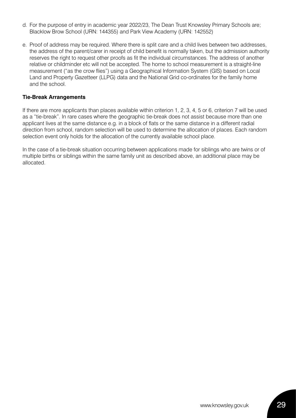- d. For the purpose of entry in academic year 2022/23, The Dean Trust Knowsley Primary Schools are; Blacklow Brow School (URN: 144355) and Park View Academy (URN: 142552)
- e. Proof of address may be required. Where there is split care and a child lives between two addresses, the address of the parent/carer in receipt of child benefit is normally taken, but the admission authority reserves the right to request other proofs as fit the individual circumstances. The address of another relative or childminder etc will not be accepted. The home to school measurement is a straight-line measurement ("as the crow flies") using a Geographical Information System (GIS) based on Local Land and Property Gazetteer (LLPG) data and the National Grid co-ordinates for the family home and the school.

#### **Tie-Break Arrangements**

If there are more applicants than places available within criterion 1, 2, 3, 4, 5 or 6, criterion 7 will be used as a "tie-break". In rare cases where the geographic tie-break does not assist because more than one applicant lives at the same distance e.g. in a block of flats or the same distance in a different radial direction from school, random selection will be used to determine the allocation of places. Each random selection event only holds for the allocation of the currently available school place.

In the case of a tie-break situation occurring between applications made for siblings who are twins or of multiple births or siblings within the same family unit as described above, an additional place may be allocated.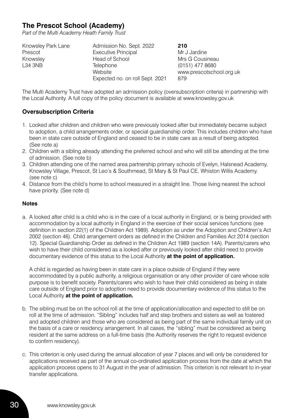## **The Prescot School (Academy)**

*Part of the Multi Academy Heath Family Trust*

| Knowsley Park Lane | Admission No. Sept. 2022        | 210                      |
|--------------------|---------------------------------|--------------------------|
| Prescot            | <b>Executive Principal</b>      | Mr J Jardine             |
| Knowsley           | Head of School                  | Mrs G Cousineau          |
| L34 3NB            | Telephone                       | (0151) 477 8680          |
|                    | Website                         | www.prescotschool.org.uk |
|                    | Expected no. on roll Sept. 2021 | 879                      |

The Multi Academy Trust have adopted an admission policy (oversubscription criteria) in partnership with the Local Authority. A full copy of the policy document is available at www.knowsley.gov.uk

#### **Oversubscription Criteria**

- 1. Looked after children and children who were previously looked after but immediately became subject to adoption, a child arrangements order, or special guardianship order. This includes children who have been in state care outside of England and ceased to be in state care as a result of being adopted. (See note a)
- 2. Children with a sibling already attending the preferred school and who will still be attending at the time of admission. (See note b)
- 3. Children attending one of the named area partnership primary schools of Evelyn, Halsnead Academy, Knowsley Village, Prescot, St Leo's & Southmead, St Mary & St Paul CE, Whiston Willis Academy. (see note c)
- 4. Distance from the child's home to school measured in a straight line. Those living nearest the school have priority. (See note d)

#### **Notes**

a. A looked after child is a child who is in the care of a local authority in England, or is being provided with accommodation by a local authority in England in the exercise of their social services functions (see definition in section 22(1) of the Children Act 1989). Adoption as under the Adoption and Children's Act 2002 (section 46). Child arrangement orders as defined in the Children and Families Act 2014 (section 12). Special Guardianship Order as defined in the Children Act 1989 (section 14A). Parents/carers who wish to have their child considered as a looked after or previously looked after child need to provide documentary evidence of this status to the Local Authority **at the point of application.** 

A child is regarded as having been in state care in a place outside of England if they were accommodated by a public authority, a religious organisation or any other provider of care whose sole purpose is to benefit society. Parents/carers who wish to have their child considered as being in state care outside of England prior to adoption need to provide documentary evidence of this status to the Local Authority **at the point of application.**

- b. The sibling must be on the school roll at the time of application/allocation and expected to still be on roll at the time of admission. "Sibling" includes half and step brothers and sisters as well as fostered and adopted children and those who are considered as being part of the same individual family unit on the basis of a care or residency arrangement. In all cases, the "sibling" must be considered as being resident at the same address on a full-time basis (the Authority reserves the right to request evidence to confirm residency).
- c. This criterion is only used during the annual allocation of year 7 places and will only be considered for applications received as part of the annual co-ordinated application process from the date at which the application process opens to 31 August in the year of admission. This criterion is not relevant to in-year transfer applications.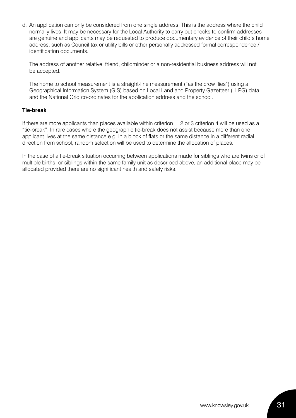d. An application can only be considered from one single address. This is the address where the child normally lives. It may be necessary for the Local Authority to carry out checks to confirm addresses are genuine and applicants may be requested to produce documentary evidence of their child's home address, such as Council tax or utility bills or other personally addressed formal correspondence / identification documents.

The address of another relative, friend, childminder or a non-residential business address will not be accepted.

The home to school measurement is a straight-line measurement ("as the crow flies") using a Geographical Information System (GIS) based on Local Land and Property Gazetteer (LLPG) data and the National Grid co-ordinates for the application address and the school.

#### **Tie-break**

If there are more applicants than places available within criterion 1, 2 or 3 criterion 4 will be used as a "tie-break". In rare cases where the geographic tie-break does not assist because more than one applicant lives at the same distance e.g. in a block of flats or the same distance in a different radial direction from school, random selection will be used to determine the allocation of places.

In the case of a tie-break situation occurring between applications made for siblings who are twins or of multiple births, or siblings within the same family unit as described above, an additional place may be allocated provided there are no significant health and safety risks.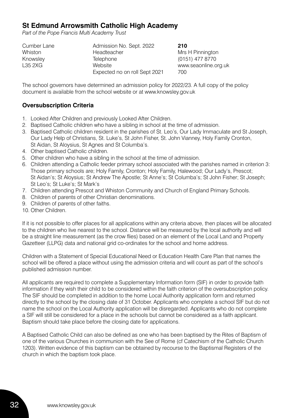## **St Edmund Arrowsmith Catholic High Academy**

*Part of the Pope Francis Multi Academy Trust*

| Cumber Lane | Admission No. Sept. 2022      | 210                  |
|-------------|-------------------------------|----------------------|
| Whiston     | Headteacher                   | Mrs H Pinnington     |
| Knowsley    | Telephone                     | (0151) 477 8770      |
| L35 2XG     | Website                       | www.seaonline.org.uk |
|             | Expected no on roll Sept 2021 | 700                  |

The school governors have determined an admission policy for 2022/23. A full copy of the policy document is available from the school website or at www.knowsley.gov.uk

#### **Oversubscription Criteria**

- 1. Looked After Children and previously Looked After Children.
- 2. Baptised Catholic children who have a sibling in school at the time of admission.
- 3. Baptised Catholic children resident in the parishes of St. Leo's, Our Lady Immaculate and St Joseph, Our Lady Help of Christians, St. Luke's, St John Fisher, St. John Vianney, Holy Family Cronton, St Aidan, St Aloysius, St Agnes and St Columba's.
- 4. Other baptised Catholic children.
- 5. Other children who have a sibling in the school at the time of admission.
- 6. Children attending a Catholic feeder primary school associated with the parishes named in criterion 3: Those primary schools are; Holy Family, Cronton; Holy Family, Halewood; Our Lady's, Prescot; St Aidan's; St Aloysius; St Andrew The Apostle; St Anne's; St Columba's; St John Fisher; St Joseph; St Leo's; St Luke's; St Mark's
- 7. Children attending Prescot and Whiston Community and Church of England Primary Schools.
- 8. Children of parents of other Christian denominations.
- 9. Children of parents of other faiths.
- 10. Other Children.

If it is not possible to offer places for all applications within any criteria above, then places will be allocated to the children who live nearest to the school. Distance will be measured by the local authority and will be a straight line measurement (as the crow flies) based on an element of the Local Land and Property Gazetteer (LLPG) data and national grid co-ordinates for the school and home address.

Children with a Statement of Special Educational Need or Education Health Care Plan that names the school will be offered a place without using the admission criteria and will count as part of the school's published admission number.

All applicants are required to complete a Supplementary Information form (SIF) in order to provide faith information if they wish their child to be considered within the faith criterion of the oversubscription policy. The SIF should be completed in addition to the home Local Authority application form and returned directly to the school by the closing date of 31 October. Applicants who complete a school SIF but do not name the school on the Local Authority application will be disregarded. Applicants who do not complete a SIF will still be considered for a place in the schools but cannot be considered as a faith applicant. Baptism should take place before the closing date for applications.

A Baptised Catholic Child can also be defined as one who has been baptised by the Rites of Baptism of one of the various Churches in communion with the See of Rome (cf Catechism of the Catholic Church 1203). Written evidence of this baptism can be obtained by recourse to the Baptismal Registers of the church in which the baptism took place.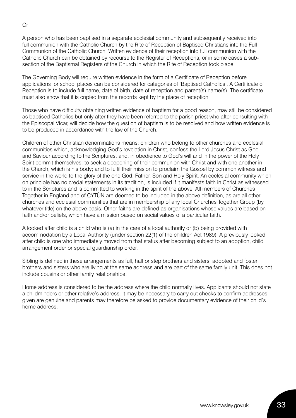A person who has been baptised in a separate ecclesial community and subsequently received into full communion with the Catholic Church by the Rite of Reception of Baptised Christians into the Full Communion of the Catholic Church. Written evidence of their reception into full communion with the Catholic Church can be obtained by recourse to the Register of Receptions, or in some cases a subsection of the Baptismal Registers of the Church in which the Rite of Reception took place.

The Governing Body will require written evidence in the form of a Certificate of Reception before applications for school places can be considered for categories of 'Baptised Catholics'. A Certificate of Reception is to include full name, date of birth, date of reception and parent(s) name(s). The certificate must also show that it is copied from the records kept by the place of reception.

Those who have difficulty obtaining written evidence of baptism for a good reason, may still be considered as baptised Catholics but only after they have been referred to the parish priest who after consulting with the Episcopal Vicar, will decide how the question of baptism is to be resolved and how written evidence is to be produced in accordance with the law of the Church.

Children of other Christian denominations means: children who belong to other churches and ecclesial communities which, acknowledging God's revelation in Christ, confess the Lord Jesus Christ as God and Saviour according to the Scriptures, and, in obedience to God's will and in the power of the Holy Spirit commit themselves: to seek a deepening of their communion with Christ and with one another in the Church, which is his body; and to fulfil their mission to proclaim the Gospel by common witness and service in the world to the glory of the one God, Father, Son and Holy Spirit. An ecclesial community which on principle has no credal statements in its tradition, is included if it manifests faith in Christ as witnessed to in the Scriptures and is committed to working in the spirit of the above. All members of Churches Together in England and of CYTÛN are deemed to be included in the above definition, as are all other churches and ecclesial communities that are in membership of any local Churches Together Group (by whatever title) on the above basis. Other faiths are defined as organisations whose values are based on faith and/or beliefs, which have a mission based on social values of a particular faith.

A looked after child is a child who is (a) in the care of a local authority or (b) being provided with accommodation by a Local Authority (under section 22(1) of the children Act 1989). A previously looked after child is one who immediately moved from that status after becoming subject to an adoption, child arrangement order or special guardianship order.

Sibling is defined in these arrangements as full, half or step brothers and sisters, adopted and foster brothers and sisters who are living at the same address and are part of the same family unit. This does not include cousins or other family relationships.

Home address is considered to be the address where the child normally lives. Applicants should not state a childminders or other relative's address. It may be necessary to carry out checks to confirm addresses given are genuine and parents may therefore be asked to provide documentary evidence of their child's home address.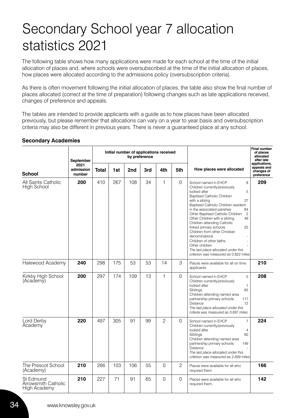## Secondary School year 7 allocation statistics 2021

The following table shows how many applications were made for each school at the time of the initial allocation of places and, where schools were oversubscribed at the time of the initial allocation of places, how places were allocated according to the admissions policy (oversubscription criteria).

As there is often movement following the initial allocation of places, the table also show the final number of places allocated (correct at the time of preparation) following changes such as late applications received, changes of preference and appeals.

The tables are intended to provide applicants with a guide as to how places have been allocated previously, but please remember that allocations can vary on a year to year basis and oversubscription criteria may also be different in previous years. There is never a guaranteed place at any school.

|                                                  | Initial number of applications received<br>by preference<br>September |              |     |     | Final number<br>of places<br>allocated<br>after late |              |                |                                                                                                                                                                                                                                                                                                                                                                                                                                                                                                                                                                     |                                                          |
|--------------------------------------------------|-----------------------------------------------------------------------|--------------|-----|-----|------------------------------------------------------|--------------|----------------|---------------------------------------------------------------------------------------------------------------------------------------------------------------------------------------------------------------------------------------------------------------------------------------------------------------------------------------------------------------------------------------------------------------------------------------------------------------------------------------------------------------------------------------------------------------------|----------------------------------------------------------|
| <b>School</b>                                    | 2021<br>admission<br>number                                           | <b>Total</b> | 1st | 2nd | 3rd                                                  | 4th          | 5th            | How places were allocated                                                                                                                                                                                                                                                                                                                                                                                                                                                                                                                                           | applications.<br>appeals and<br>changes of<br>preference |
| All Saints Catholic<br>High School               | 200                                                                   | 410          | 267 | 108 | 34                                                   | 1            | $\mathbf 0$    | 8<br>School named in EHCP<br>Children currently/previously<br>5<br>looked after<br><b>Baptised Catholic Children</b><br>27<br>with a sibling<br>Baptised Catholic Children resident<br>84<br>in the associated parishes<br>$\overline{c}$<br>Other Baptised Catholic Children<br>Other Children with a sibling<br>49<br>Children attending Catholic<br>25<br>linked primary schools<br>Children from other Christian<br>denominations<br>Children of other faiths<br>Other children<br>The last place allocated under this<br>criterion was measured as 0.822 miles | 209                                                      |
| Halewood Academy                                 | 240                                                                   | 298          | 175 | 53  | 53                                                   | 14           | 3              | Places were available for all on time<br>applicants.                                                                                                                                                                                                                                                                                                                                                                                                                                                                                                                | 210                                                      |
| Kirkby High School<br>(Academy)                  | 200                                                                   | 297          | 174 | 109 | 13                                                   | $\mathbf{1}$ | $\Omega$       | 5<br>School named in EHCP<br>Children currently/previously<br>looked after<br>1<br>65<br>Siblings<br>Children attending named area<br>partnership primary schools<br>117<br>12<br><b>Distance</b><br>The last place allocated under this<br>criteria was measured as 0.697 miles                                                                                                                                                                                                                                                                                    | 208                                                      |
| Lord Derby<br>Academy                            | 220                                                                   | 497          | 305 | 91  | 99                                                   | $\mathbf{2}$ | $\Omega$       | $\overline{7}$<br>School named in EHCP<br>Children currently/previously<br>looked after<br>$\overline{4}$<br>60<br>Siblings<br>Children attending named area<br>partnership primary schools<br>149<br><b>Distance</b><br>The last place allocated under this<br>criterion was measured as 2.699 miles                                                                                                                                                                                                                                                               | 224                                                      |
| The Prescot School<br>(Academy)                  | 210                                                                   | 266          | 103 | 106 | 55                                                   | $\Omega$     | $\overline{c}$ | Places were available for all who<br>required them.                                                                                                                                                                                                                                                                                                                                                                                                                                                                                                                 | 166                                                      |
| St Edmund<br>Arrowsmith Catholic<br>High Academy | 210                                                                   | 227          | 71  | 91  | 65                                                   | 0            | $\Omega$       | Places were available for all who<br>required them.                                                                                                                                                                                                                                                                                                                                                                                                                                                                                                                 | 142                                                      |

#### **Secondary Academies**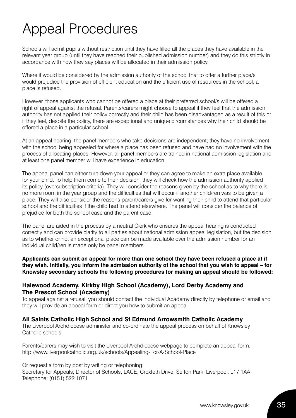# Appeal Procedures

Schools will admit pupils without restriction until they have filled all the places they have available in the relevant year group (until they have reached their published admission number) and they do this strictly in accordance with how they say places will be allocated in their admission policy.

Where it would be considered by the admission authority of the school that to offer a further place/s would prejudice the provision of efficient education and the efficient use of resources in the school, a place is refused.

However, those applicants who cannot be offered a place at their preferred school/s will be offered a right of appeal against the refusal. Parents/carers might choose to appeal if they feel that the admission authority has not applied their policy correctly and their child has been disadvantaged as a result of this or if they feel, despite the policy, there are exceptional and unique circumstances why their child should be offered a place in a particular school.

At an appeal hearing, the panel members who take decisions are independent; they have no involvement with the school being appealed for where a place has been refused and have had no involvement with the process of allocating places. However, all panel members are trained in national admission legislation and at least one panel member will have experience in education.

The appeal panel can either turn down your appeal or they can agree to make an extra place available for your child. To help them come to their decision, they will check how the admission authority applied its policy (oversubscription criteria). They will consider the reasons given by the school as to why there is no more room in the year group and the difficulties that will occur if another child/ren was to be given a place. They will also consider the reasons parent/carers give for wanting their child to attend that particular school and the difficulties if the child had to attend elsewhere. The panel will consider the balance of prejudice for both the school case and the parent case.

The panel are aided in the process by a neutral Clerk who ensures the appeal hearing is conducted correctly and can provide clarity to all parties about national admission appeal legislation, but the decision as to whether or not an exceptional place can be made available over the admission number for an individual child/ren is made only be panel members.

**Applicants can submit an appeal for more than one school they have been refused a place at if they wish. Initially, you inform the admission authority of the school that you wish to appeal – for Knowsley secondary schools the following procedures for making an appeal should be followed:**

#### **Halewood Academy, Kirkby High School (Academy), Lord Derby Academy and The Prescot School (Academy)**

To appeal against a refusal, you should contact the individual Academy directly by telephone or email and they will provide an appeal form or direct you how to submit an appeal.

#### **All Saints Catholic High School and St Edmund Arrowsmith Catholic Academy**

The Liverpool Archdiocese administer and co-ordinate the appeal process on behalf of Knowsley Catholic schools.

Parents/carers may wish to visit the Liverpool Archdiocese webpage to complete an appeal form: http://www.liverpoolcatholic.org.uk/schools/Appealing-For-A-School-Place

Or request a form by post by writing or telephoning: Secretary for Appeals, Director of Schools, LACE, Croxteth Drive, Sefton Park, Liverpool, L17 1AA Telephone: (0151) 522 1071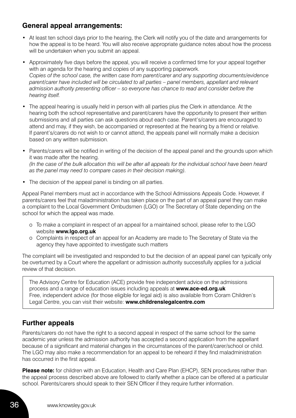## **General appeal arrangements:**

- At least ten school days prior to the hearing, the Clerk will notify you of the date and arrangements for how the appeal is to be heard. You will also receive appropriate guidance notes about how the process will be undertaken when you submit an appeal.
- Approximately five days before the appeal, you will receive a confirmed time for your appeal together with an agenda for the hearing and copies of any supporting paperwork. *Copies of the school case, the written case from parent/carer and any supporting documents/evidence parent/carer have included will be circulated to all parties – panel members, appellant and relevant admission authority presenting officer – so everyone has chance to read and consider before the hearing itself.*
- The appeal hearing is usually held in person with all parties plus the Clerk in attendance. At the hearing both the school representative and parent/carers have the opportunity to present their written submissions and all parties can ask questions about each case. Parent's/carers are encouraged to attend and may, if they wish, be accompanied or represented at the hearing by a friend or relative. If parent's/carers do not wish to or cannot attend, the appeals panel will normally make a decision based on any written submission.
- Parents/carers will be notified in writing of the decision of the appeal panel and the grounds upon which it was made after the hearing. *(In the case of the bulk allocation this will be after all appeals for the individual school have been heard as the panel may need to compare cases in their decision making).*
- The decision of the appeal panel is binding on all parties.

Appeal Panel members must act in accordance with the School Admissions Appeals Code. However, if parents/carers feel that maladministration has taken place on the part of an appeal panel they can make a complaint to the Local Government Ombudsmen (LGO) or The Secretary of State depending on the school for which the appeal was made.

- o To make a complaint in respect of an appeal for a maintained school, please refer to the LGO website **www.lgo.org.uk**
- o Complaints in respect of an appeal for an Academy are made to The Secretary of State via the agency they have appointed to investigate such matters

The complaint will be investigated and responded to but the decision of an appeal panel can typically only be overturned by a Court where the appellant or admission authority successfully applies for a judicial review of that decision.

The Advisory Centre for Education (ACE) provide free independent advice on the admissions process and a range of education issues including appeals at **www.ace-ed.org.uk** Free, independent advice (for those eligible for legal aid) is also available from Coram Children's Legal Centre, you can visit their website: **www.childrenslegalcentre.com**

## **Further appeals**

Parents/carers do not have the right to a second appeal in respect of the same school for the same academic year unless the admission authority has accepted a second application from the appellant because of a significant and material changes in the circumstances of the parent/carer/school or child. The LGO may also make a recommendation for an appeal to be reheard if they find maladministration has occurred in the first appeal.

**Please note:** for children with an Education, Health and Care Plan (EHCP), SEN procedures rather than the appeal process described above are followed to clarify whether a place can be offered at a particular school. Parents/carers should speak to their SEN Officer if they require further information.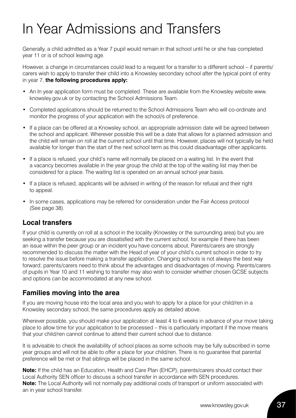## In Year Admissions and Transfers

Generally, a child admitted as a Year 7 pupil would remain in that school until he or she has completed year 11 or is of school leaving age.

However, a change in circumstances could lead to a request for a transfer to a different school – if parents/ carers wish to apply to transfer their child into a Knowsley secondary school after the typical point of entry in year 7, **the following procedures apply:**

- An In year application form must be completed. These are available from the Knowsley website www. knowsley.gov.uk or by contacting the School Admissions Team.
- Completed applications should be returned to the School Admissions Team who will co-ordinate and monitor the progress of your application with the school/s of preference.
- If a place can be offered at a Knowsley school, an appropriate admission date will be agreed between the school and applicant. Wherever possible this will be a date that allows for a planned admission and the child will remain on roll at the current school until that time. However, places will not typically be held available for longer than the start of the next school term as this could disadvantage other applicants.
- If a place is refused, your child's name will normally be placed on a waiting list. In the event that a vacancy becomes available in the year group the child at the top of the waiting list may then be considered for a place. The waiting list is operated on an annual school year basis.
- If a place is refused, applicants will be advised in writing of the reason for refusal and their right to appeal.
- In some cases, applications may be referred for consideration under the Fair Access protocol (See page 38).

## **Local transfers**

If your child is currently on roll at a school in the locality (Knowsley or the surrounding area) but you are seeking a transfer because you are dissatisfied with the current school, for example if there has been an issue within the peer group or an incident you have concerns about, Parents/carers are strongly recommended to discuss the matter with the Head of year of your child's current school in order to try to resolve the issue before making a transfer application. Changing schools is not always the best way forward; parents/carers need to think about the advantages and disadvantages of moving. Parents/carers of pupils in Year 10 and 11 wishing to transfer may also wish to consider whether chosen GCSE subjects and options can be accommodated at any new school.

## **Families moving into the area**

If you are moving house into the local area and you wish to apply for a place for your child/ren in a Knowsley secondary school, the same procedures apply as detailed above.

Wherever possible, you should make your application at least 4 to 6 weeks in advance of your move taking place to allow time for your application to be processed – this is particularly important if the move means that your child/ren cannot continue to attend their current school due to distance.

It is advisable to check the availability of school places as some schools may be fully subscribed in some year groups and will not be able to offer a place for your child/ren. There is no guarantee that parental preference will be met or that siblings will be placed in the same school.

**Note:** If the child has an Education, Health and Care Plan (EHCP), parents/carers should contact their Local Authority SEN officer to discuss a school transfer in accordance with SEN procedures. **Note:** The Local Authority will not normally pay additional costs of transport or uniform associated with an in year school transfer.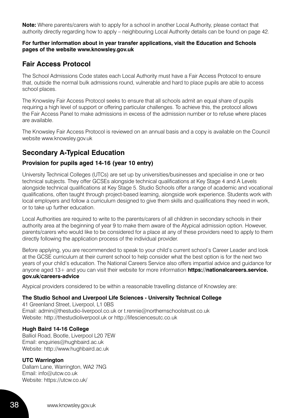**Note:** Where parents/carers wish to apply for a school in another Local Authority, please contact that authority directly regarding how to apply – neighbouring Local Authority details can be found on page 42.

#### **For further information about in year transfer applications, visit the Education and Schools pages of the website www.knowsley.gov.uk**

## **Fair Access Protocol**

The School Admissions Code states each Local Authority must have a Fair Access Protocol to ensure that, outside the normal bulk admissions round, vulnerable and hard to place pupils are able to access school places.

The Knowsley Fair Access Protocol seeks to ensure that all schools admit an equal share of pupils requiring a high level of support or offering particular challenges. To achieve this, the protocol allows the Fair Access Panel to make admissions in excess of the admission number or to refuse where places are available.

The Knowsley Fair Access Protocol is reviewed on an annual basis and a copy is available on the Council website www.knowsley.gov.uk

## **Secondary A-Typical Education**

#### **Provision for pupils aged 14-16 (year 10 entry)**

University Technical Colleges (UTCs) are set up by universities/businesses and specialise in one or two technical subjects. They offer GCSEs alongside technical qualifications at Key Stage 4 and A Levels alongside technical qualifications at Key Stage 5. Studio Schools offer a range of academic and vocational qualifications, often taught through project-based learning, alongside work experience. Students work with local employers and follow a curriculum designed to give them skills and qualifications they need in work, or to take up further education.

Local Authorities are required to write to the parents/carers of all children in secondary schools in their authority area at the beginning of year 9 to make them aware of the Atypical admission option. However, parents/carers who would like to be considered for a place at any of these providers need to apply to them directly following the application process of the individual provider.

Before applying, you are recommended to speak to your child's current school's Career Leader and look at the GCSE curriculum at their current school to help consider what the best option is for the next two years of your child's education. The National Careers Service also offers impartial advice and guidance for anyone aged 13+ and you can visit their website for more information **https://nationalcareers.service. gov.uk/careers-advice** 

Atypical providers considered to be within a reasonable travelling distance of Knowsley are:

#### **The Studio School and Liverpool Life Sciences - University Technical College**

41 Greenland Street, Liverpool, L1 0BS Email: admin@thestudio-liverpool.co.uk or t.rennie@northernschoolstrust.co.uk Website: http://thestudioliverpool.uk or http://lifesciencesutc.co.uk

#### **Hugh Baird 14-16 College**

Balliol Road, Bootle, Liverpool L20 7EW Email: enquiries@hughbaird.ac.uk Website: http://www.hughbaird.ac.uk

#### **UTC Warrington**

Dallam Lane, Warrington, WA2 7NG Email: info@utcw.co.uk Website: https://utcw.co.uk/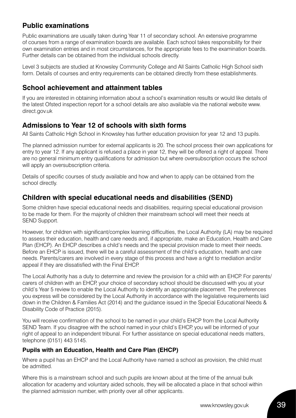## **Public examinations**

Public examinations are usually taken during Year 11 of secondary school. An extensive programme of courses from a range of examination boards are available. Each school takes responsibility for their own examination entries and in most circumstances, for the appropriate fees to the examination boards. Further details can be obtained from the individual schools directly.

Level 3 subjects are studied at Knowsley Community College and All Saints Catholic High School sixth form. Details of courses and entry requirements can be obtained directly from these establishments.

## **School achievement and attainment tables**

If you are interested in obtaining information about a school's examination results or would like details of the latest Ofsted inspection report for a school details are also available via the national website www. direct.gov.uk

## **Admissions to Year 12 of schools with sixth forms**

All Saints Catholic High School in Knowsley has further education provision for year 12 and 13 pupils.

The planned admission number for external applicants is 20. The school process their own applications for entry to year 12. If any applicant is refused a place in year 12, they will be offered a right of appeal. There are no general minimum entry qualifications for admission but where oversubscription occurs the school will apply an oversubscription criteria.

Details of specific courses of study available and how and when to apply can be obtained from the school directly.

## **Children with special educational needs and disabilities (SEND)**

Some children have special educational needs and disabilities, requiring special educational provision to be made for them. For the majority of children their mainstream school will meet their needs at SEND Support.

However, for children with significant/complex learning difficulties, the Local Authority (LA) may be required to assess their education, health and care needs and, if appropriate, make an Education, Health and Care Plan (EHCP). An EHCP describes a child's needs and the special provision made to meet their needs. Before an EHCP is issued, there will be a careful assessment of the child's education, health and care needs. Parents/carers are involved in every stage of this process and have a right to mediation and/or appeal if they are dissatisfied with the Final EHCP.

The Local Authority has a duty to determine and review the provision for a child with an EHCP. For parents/ carers of children with an EHCP, your choice of secondary school should be discussed with you at your child's Year 5 review to enable the Local Authority to identify an appropriate placement. The preferences you express will be considered by the Local Authority in accordance with the legislative requirements laid down in the Children & Families Act (2014) and the guidance issued in the Special Educational Needs & Disability Code of Practice (2015).

You will receive confirmation of the school to be named in your child's EHCP from the Local Authority SEND Team. If you disagree with the school named in your child's EHCP, you will be informed of your right of appeal to an independent tribunal. For further assistance on special educational needs matters, telephone (0151) 443 5145.

### **Pupils with an Education, Health and Care Plan (EHCP)**

Where a pupil has an EHCP and the Local Authority have named a school as provision, the child must be admitted.

Where this is a mainstream school and such pupils are known about at the time of the annual bulk allocation for academy and voluntary aided schools, they will be allocated a place in that school within the planned admission number, with priority over all other applicants.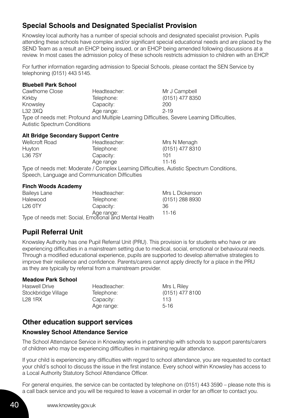## **Special Schools and Designated Specialist Provision**

Knowsley local authority has a number of special schools and designated specialist provision. Pupils attending these schools have complex and/or significant special educational needs and are placed by the SEND Team as a result an EHCP being issued, or an EHCP being amended following discussions at a review. In most cases the admission policy of these schools restricts admission to children with an EHCP.

For further information regarding admission to Special Schools, please contact the SEN Service by telephoning (0151) 443 5145.

#### **Bluebell Park School**

Cawthorne Close Feadteacher: Mr J Campbell Kirkby Telephone: (0151) 477 8350 Knowsley Capacity: 200 L32 3XQ Age range: 2-19 Type of needs met: Profound and Multiple Learning Difficulties, Severe Learning Difficulties, Autistic Spectrum Conditions

#### **Alt Bridge Secondary Support Centre**

| <b>Wellcroft Road</b> | Headteacher: | Mrs N Menagh                                                                            |
|-----------------------|--------------|-----------------------------------------------------------------------------------------|
| Huyton                | Telephone:   | (0151) 477 8310                                                                         |
| L36 7SY               | Capacity:    | 101                                                                                     |
|                       | Age range    | 11-16                                                                                   |
|                       |              | $\pi$ me of people met Mederate (Complex Leorning Difficulties, Autistic Coostrum Count |

Type of needs met: Moderate / Complex Learning Difficulties, Autistic Spectrum Conditions, Speech, Language and Communication Difficulties

#### **Finch Woods Academy**

| <b>Baileys Lane</b> | Headteacher:                                                         | Mrs L Dickenson |
|---------------------|----------------------------------------------------------------------|-----------------|
| Halewood            | Telephone:                                                           | (0151) 288 8930 |
| $1260$ TY           | Capacity:                                                            | 36              |
|                     |                                                                      | 11-16           |
|                     | Age range:<br>Type of needs met: Social, Emotional and Mental Health |                 |

## **Pupil Referral Unit**

Knowsley Authority has one Pupil Referral Unit (PRU). This provision is for students who have or are experiencing difficulties in a mainstream setting due to medical, social, emotional or behavioural needs. Through a modified educational experience, pupils are supported to develop alternative strategies to improve their resilience and confidence. Parents/carers cannot apply directly for a place in the PRU as they are typically by referral from a mainstream provider.

#### **Meadow Park School**

| <b>Haswell Drive</b> | Headteacher: | Mrs L Riley     |
|----------------------|--------------|-----------------|
| Stockbridge Village  | Telephone:   | (0151) 477 8100 |
| L28 1 RX             | Capacity:    | 113             |
|                      | Age range:   | $5-16$          |

## **Other education support services**

#### **Knowsley School Attendance Service**

The School Attendance Service in Knowsley works in partnership with schools to support parents/carers of children who may be experiencing difficulties in maintaining regular attendance.

If your child is experiencing any difficulties with regard to school attendance, you are requested to contact your child's school to discuss the issue in the first instance. Every school within Knowsley has access to a Local Authority Statutory School Attendance Officer.

For general enquiries, the service can be contacted by telephone on (0151) 443 3590 – please note this is a call back service and you will be required to leave a voicemail in order for an officer to contact you.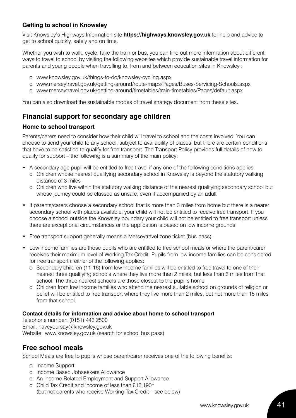### **Getting to school in Knowsley**

Visit Knowsley's Highways Information site **https://highways.knowsley.gov.uk** for help and advice to get to school quickly, safely and on time.

Whether you wish to walk, cycle, take the train or bus, you can find out more information about different ways to travel to school by visiting the following websites which provide sustainable travel information for parents and young people when travelling to, from and between education sites in Knowsley :

- o www.knowsley.gov.uk/things-to-do/knowsley-cycling.aspx
- o www.merseytravel.gov.uk/getting-around/route-maps/Pages/Buses-Servicing-Schools.aspx
- o www.merseytravel.gov.uk/getting-around/timetables/train-timetables/Pages/default.aspx

You can also download the sustainable modes of travel strategy document from these sites.

## **Financial support for secondary age children**

#### **Home to school transport**

Parents/carers need to consider how their child will travel to school and the costs involved. You can choose to send your child to any school, subject to availability of places, but there are certain conditions that have to be satisfied to qualify for free transport. The Transport Policy provides full details of how to qualify for support – the following is a summary of the main policy:

- A secondary age pupil will be entitled to free travel if any one of the following conditions applies:
	- o Children whose nearest qualifying secondary school in Knowsley is beyond the statutory walking distance of 3 miles
	- o Children who live within the statutory walking distance of the nearest qualifying secondary school but whose journey could be classed as unsafe, even if accompanied by an adult
- If parents/carers choose a secondary school that is more than 3 miles from home but there is a nearer secondary school with places available, your child will not be entitled to receive free transport. If you choose a school outside the Knowsley boundary your child will not be entitled to free transport unless there are exceptional circumstances or the application is based on low income grounds.
- Free transport support generally means a Merseytravel zone ticket (bus pass).
- Low income families are those pupils who are entitled to free school meals or where the parent/carer receives their maximum level of Working Tax Credit. Pupils from low income families can be considered for free transport if either of the following applies:
	- o Secondary children (11-16) from low income families will be entitled to free travel to one of their nearest three qualifying schools where they live more than 2 miles, but less than 6 miles from that school. The three nearest schools are those closest to the pupil's home.
	- o Children from low income families who attend the nearest suitable school on grounds of religion or belief will be entitled to free transport where they live more than 2 miles, but not more than 15 miles from that school.

#### **Contact details for information and advice about home to school transport**

Telephone number: (0151) 443 2500 Email: haveyoursay@knowsley.gov.uk Website: www.knowsley.gov.uk (search for school bus pass)

## **Free school meals**

School Meals are free to pupils whose parent/carer receives one of the following benefits:

- o Income Support
- o Income Based Jobseekers Allowance
- o An Income-Related Employment and Support Allowance
- o Child Tax Credit and income of less than £16,190\* (but not parents who receive Working Tax Credit – see below)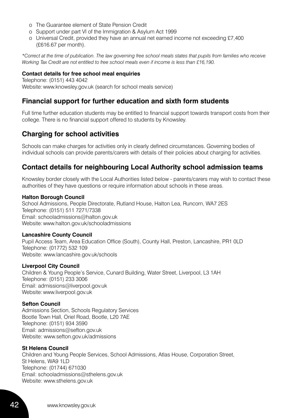- o The Guarantee element of State Pension Credit
- o Support under part VI of the Immigration & Asylum Act 1999
- o Universal Credit, provided they have an annual net earned income not exceeding £7,400 (£616.67 per month).

*\*Correct at the time of publication. The law governing free school meals states that pupils from families who receive Working Tax Credit are not entitled to free school meals even if income is less than £16,190.*

#### **Contact details for free school meal enquiries**

Telephone: (0151) 443 4042 Website:www.knowsley.gov.uk (search for school meals service)

## **Financial support for further education and sixth form students**

Full time further education students may be entitled to financial support towards transport costs from their college. There is no financial support offered to students by Knowsley.

## **Charging for school activities**

Schools can make charges for activities only in clearly defined circumstances. Governing bodies of individual schools can provide parents/carers with details of their policies about charging for activities.

## **Contact details for neighbouring Local Authority school admission teams**

Knowsley border closely with the Local Authorities listed below - parents/carers may wish to contact these authorities of they have questions or require information about schools in these areas.

#### **Halton Borough Council**

School Admissions, People Directorate, Rutland House, Halton Lea, Runcorn, WA7 2ES Telephone: (0151) 511 7271/7338 Email: schooladmissions@halton.gov.uk Website:www.halton.gov.uk/schooladmissions

#### **Lancashire County Council**

Pupil Access Team, Area Education Office (South), County Hall, Preston, Lancashire, PR1 0LD Telephone: (01772) 532 109 Website: www.lancashire.gov.uk/schools

#### **Liverpool City Council**

Children & Young People's Service, Cunard Building, Water Street, Liverpool, L3 1AH Telephone: (0151) 233 3006 Email: admissions@liverpool.gov.uk Website:www.liverpool.gov.uk

#### **Sefton Council**

Admissions Section, Schools Regulatory Services Bootle Town Hall, Oriel Road, Bootle, L20 7AE Telephone: (0151) 934 3590 Email: admissions@sefton.gov.uk Website: www.sefton.gov.uk/admissions

#### **St Helens Council**

Children and Young People Services, School Admissions, Atlas House, Corporation Street, St Helens, WA9 1LD Telephone: (01744) 671030 Email: schooladmissions@sthelens.gov.uk Website: www.sthelens.gov.uk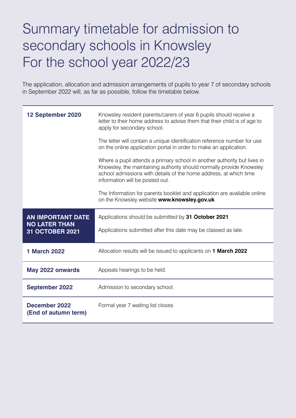## Summary timetable for admission to secondary schools in Knowsley For the school year 2022/23

The application, allocation and admission arrangements of pupils to year 7 of secondary schools in September 2022 will, as far as possible, follow the timetable below.

| 12 September 2020                                                   | Knowsley resident parents/carers of year 6 pupils should receive a<br>letter to their home address to advise them that their child is of age to<br>apply for secondary school.                                                                           |
|---------------------------------------------------------------------|----------------------------------------------------------------------------------------------------------------------------------------------------------------------------------------------------------------------------------------------------------|
|                                                                     | The letter will contain a unique identification reference number for use<br>on the online application portal in order to make an application.                                                                                                            |
|                                                                     | Where a pupil attends a primary school in another authority but lives in<br>Knowsley, the maintaining authority should normally provide Knowsley<br>school admissions with details of the home address, at which time<br>information will be posted out. |
|                                                                     | The Information for parents booklet and application are available online<br>on the Knowsley website www.knowsley.gov.uk                                                                                                                                  |
| <b>AN IMPORTANT DATE</b><br><b>NO LATER THAN</b><br>31 OCTOBER 2021 | Applications should be submitted by 31 October 2021<br>Applications submitted after this date may be classed as late.                                                                                                                                    |
| <b>1 March 2022</b>                                                 | Allocation results will be issued to applicants on 1 March 2022                                                                                                                                                                                          |
| May 2022 onwards                                                    | Appeals hearings to be held.                                                                                                                                                                                                                             |
| <b>September 2022</b>                                               | Admission to secondary school.                                                                                                                                                                                                                           |
| December 2022<br>(End of autumn term)                               | Formal year 7 waiting list closes                                                                                                                                                                                                                        |